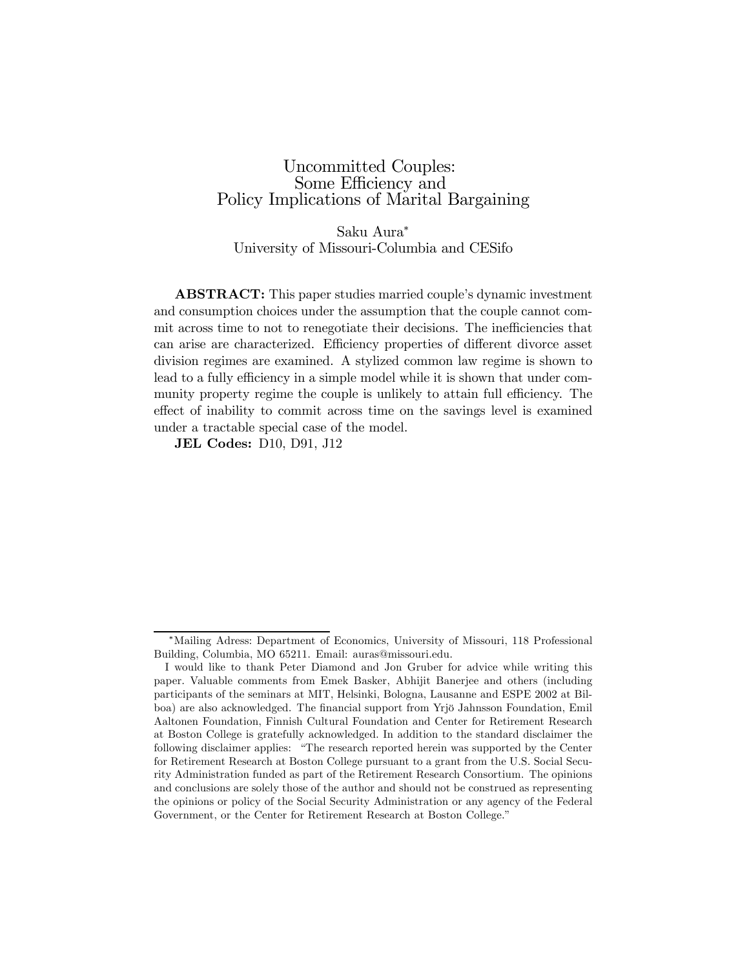## Uncommitted Couples: Some Efficiency and Policy Implications of Marital Bargaining

Saku Aura<sup>∗</sup> University of Missouri-Columbia and CESifo

ABSTRACT: This paper studies married couple's dynamic investment and consumption choices under the assumption that the couple cannot commit across time to not to renegotiate their decisions. The inefficiencies that can arise are characterized. Efficiency properties of different divorce asset division regimes are examined. A stylized common law regime is shown to lead to a fully efficiency in a simple model while it is shown that under community property regime the couple is unlikely to attain full efficiency. The effect of inability to commit across time on the savings level is examined under a tractable special case of the model.

JEL Codes: D10, D91, J12

<sup>∗</sup>Mailing Adress: Department of Economics, University of Missouri, 118 Professional Building, Columbia, MO 65211. Email: auras@missouri.edu.

I would like to thank Peter Diamond and Jon Gruber for advice while writing this paper. Valuable comments from Emek Basker, Abhijit Banerjee and others (including participants of the seminars at MIT, Helsinki, Bologna, Lausanne and ESPE 2002 at Bilboa) are also acknowledged. The financial support from Yrjö Jahnsson Foundation, Emil Aaltonen Foundation, Finnish Cultural Foundation and Center for Retirement Research at Boston College is gratefully acknowledged. In addition to the standard disclaimer the following disclaimer applies: "The research reported herein was supported by the Center for Retirement Research at Boston College pursuant to a grant from the U.S. Social Security Administration funded as part of the Retirement Research Consortium. The opinions and conclusions are solely those of the author and should not be construed as representing the opinions or policy of the Social Security Administration or any agency of the Federal Government, or the Center for Retirement Research at Boston College."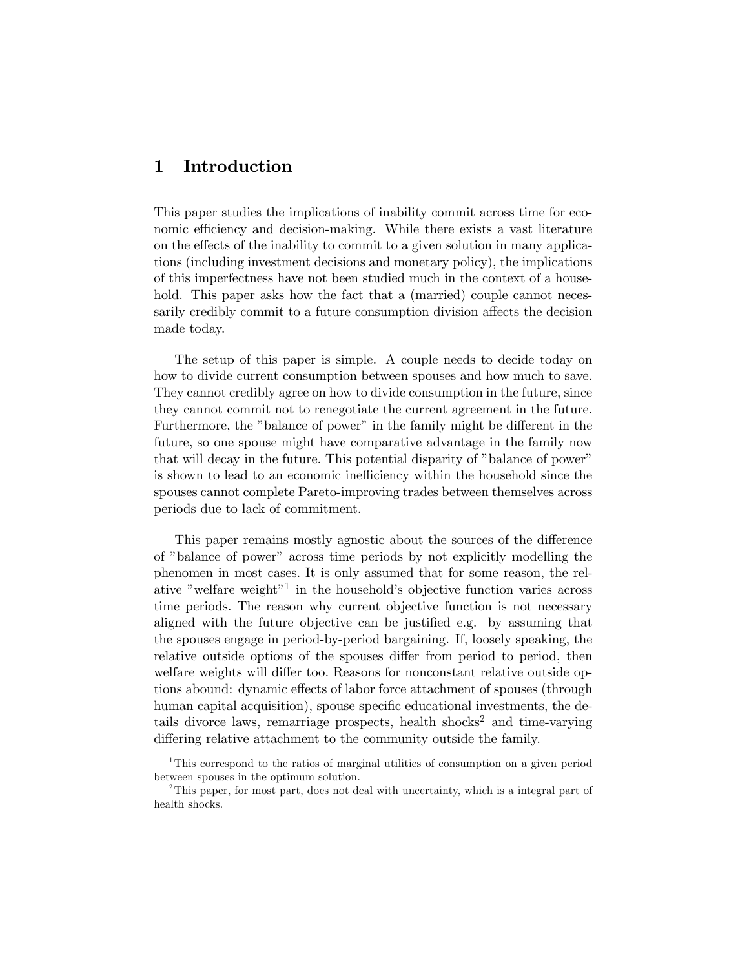## 1 Introduction

This paper studies the implications of inability commit across time for economic efficiency and decision-making. While there exists a vast literature on the effects of the inability to commit to a given solution in many applications (including investment decisions and monetary policy), the implications of this imperfectness have not been studied much in the context of a household. This paper asks how the fact that a (married) couple cannot necessarily credibly commit to a future consumption division affects the decision made today.

The setup of this paper is simple. A couple needs to decide today on how to divide current consumption between spouses and how much to save. They cannot credibly agree on how to divide consumption in the future, since they cannot commit not to renegotiate the current agreement in the future. Furthermore, the "balance of power" in the family might be different in the future, so one spouse might have comparative advantage in the family now that will decay in the future. This potential disparity of "balance of power" is shown to lead to an economic inefficiency within the household since the spouses cannot complete Pareto-improving trades between themselves across periods due to lack of commitment.

This paper remains mostly agnostic about the sources of the difference of "balance of power" across time periods by not explicitly modelling the phenomen in most cases. It is only assumed that for some reason, the relative "welfare weight"1 in the household's objective function varies across time periods. The reason why current objective function is not necessary aligned with the future objective can be justified e.g. by assuming that the spouses engage in period-by-period bargaining. If, loosely speaking, the relative outside options of the spouses differ from period to period, then welfare weights will differ too. Reasons for nonconstant relative outside options abound: dynamic effects of labor force attachment of spouses (through human capital acquisition), spouse specific educational investments, the details divorce laws, remarriage prospects, health shocks<sup>2</sup> and time-varying differing relative attachment to the community outside the family.

<sup>1</sup>This correspond to the ratios of marginal utilities of consumption on a given period between spouses in the optimum solution.

<sup>&</sup>lt;sup>2</sup>This paper, for most part, does not deal with uncertainty, which is a integral part of health shocks.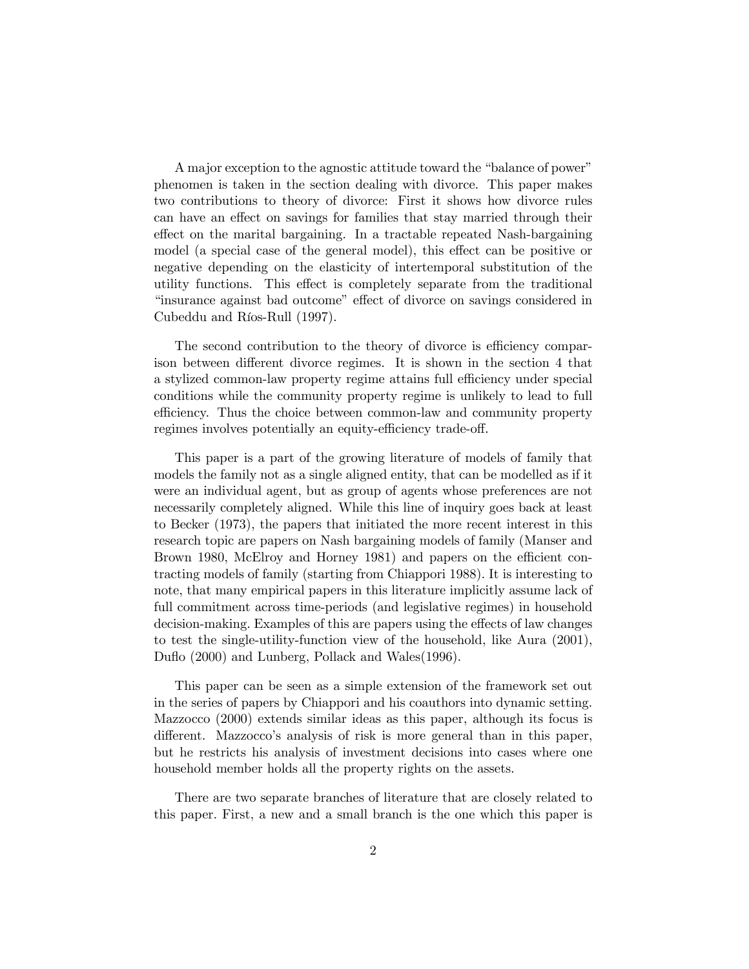A major exception to the agnostic attitude toward the "balance of power" phenomen is taken in the section dealing with divorce. This paper makes two contributions to theory of divorce: First it shows how divorce rules can have an effect on savings for families that stay married through their effect on the marital bargaining. In a tractable repeated Nash-bargaining model (a special case of the general model), this effect can be positive or negative depending on the elasticity of intertemporal substitution of the utility functions. This effect is completely separate from the traditional "insurance against bad outcome" effect of divorce on savings considered in Cubeddu and Ríos-Rull (1997).

The second contribution to the theory of divorce is efficiency comparison between different divorce regimes. It is shown in the section 4 that a stylized common-law property regime attains full efficiency under special conditions while the community property regime is unlikely to lead to full efficiency. Thus the choice between common-law and community property regimes involves potentially an equity-efficiency trade-off.

This paper is a part of the growing literature of models of family that models the family not as a single aligned entity, that can be modelled as if it were an individual agent, but as group of agents whose preferences are not necessarily completely aligned. While this line of inquiry goes back at least to Becker (1973), the papers that initiated the more recent interest in this research topic are papers on Nash bargaining models of family (Manser and Brown 1980, McElroy and Horney 1981) and papers on the efficient contracting models of family (starting from Chiappori 1988). It is interesting to note, that many empirical papers in this literature implicitly assume lack of full commitment across time-periods (and legislative regimes) in household decision-making. Examples of this are papers using the effects of law changes to test the single-utility-function view of the household, like Aura (2001), Duflo (2000) and Lunberg, Pollack and Wales(1996).

This paper can be seen as a simple extension of the framework set out in the series of papers by Chiappori and his coauthors into dynamic setting. Mazzocco (2000) extends similar ideas as this paper, although its focus is different. Mazzocco's analysis of risk is more general than in this paper, but he restricts his analysis of investment decisions into cases where one household member holds all the property rights on the assets.

There are two separate branches of literature that are closely related to this paper. First, a new and a small branch is the one which this paper is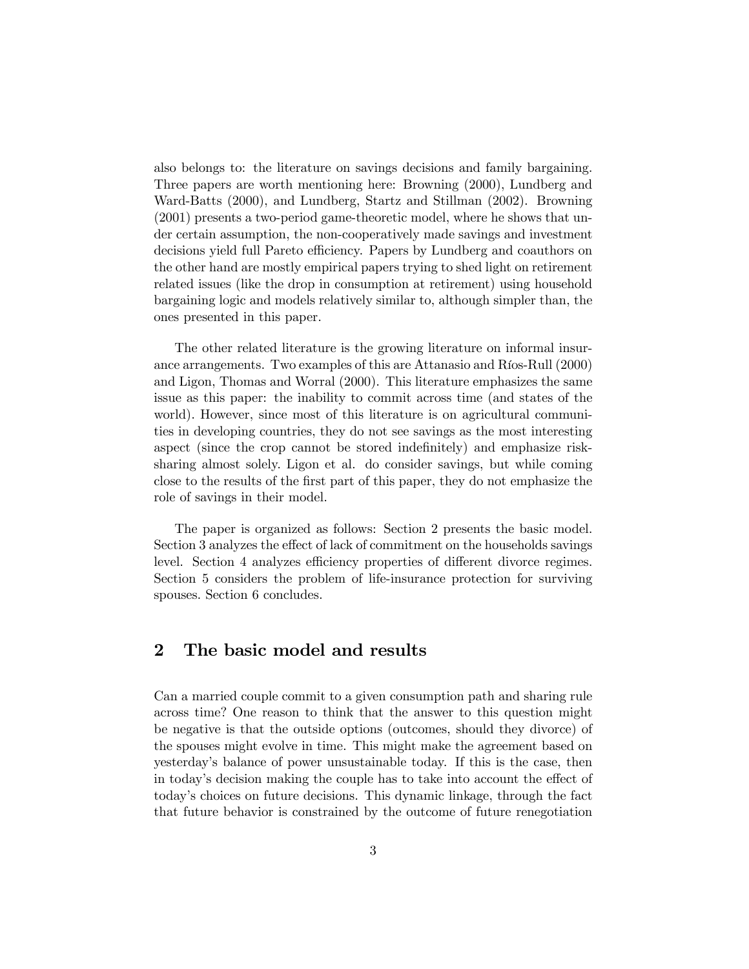also belongs to: the literature on savings decisions and family bargaining. Three papers are worth mentioning here: Browning (2000), Lundberg and Ward-Batts (2000), and Lundberg, Startz and Stillman (2002). Browning (2001) presents a two-period game-theoretic model, where he shows that under certain assumption, the non-cooperatively made savings and investment decisions yield full Pareto efficiency. Papers by Lundberg and coauthors on the other hand are mostly empirical papers trying to shed light on retirement related issues (like the drop in consumption at retirement) using household bargaining logic and models relatively similar to, although simpler than, the ones presented in this paper.

The other related literature is the growing literature on informal insurance arrangements. Two examples of this are Attanasio and Ríos-Rull (2000) and Ligon, Thomas and Worral (2000). This literature emphasizes the same issue as this paper: the inability to commit across time (and states of the world). However, since most of this literature is on agricultural communities in developing countries, they do not see savings as the most interesting aspect (since the crop cannot be stored indefinitely) and emphasize risksharing almost solely. Ligon et al. do consider savings, but while coming close to the results of the first part of this paper, they do not emphasize the role of savings in their model.

The paper is organized as follows: Section 2 presents the basic model. Section 3 analyzes the effect of lack of commitment on the households savings level. Section 4 analyzes efficiency properties of different divorce regimes. Section 5 considers the problem of life-insurance protection for surviving spouses. Section 6 concludes.

## 2 The basic model and results

Can a married couple commit to a given consumption path and sharing rule across time? One reason to think that the answer to this question might be negative is that the outside options (outcomes, should they divorce) of the spouses might evolve in time. This might make the agreement based on yesterday's balance of power unsustainable today. If this is the case, then in today's decision making the couple has to take into account the effect of today's choices on future decisions. This dynamic linkage, through the fact that future behavior is constrained by the outcome of future renegotiation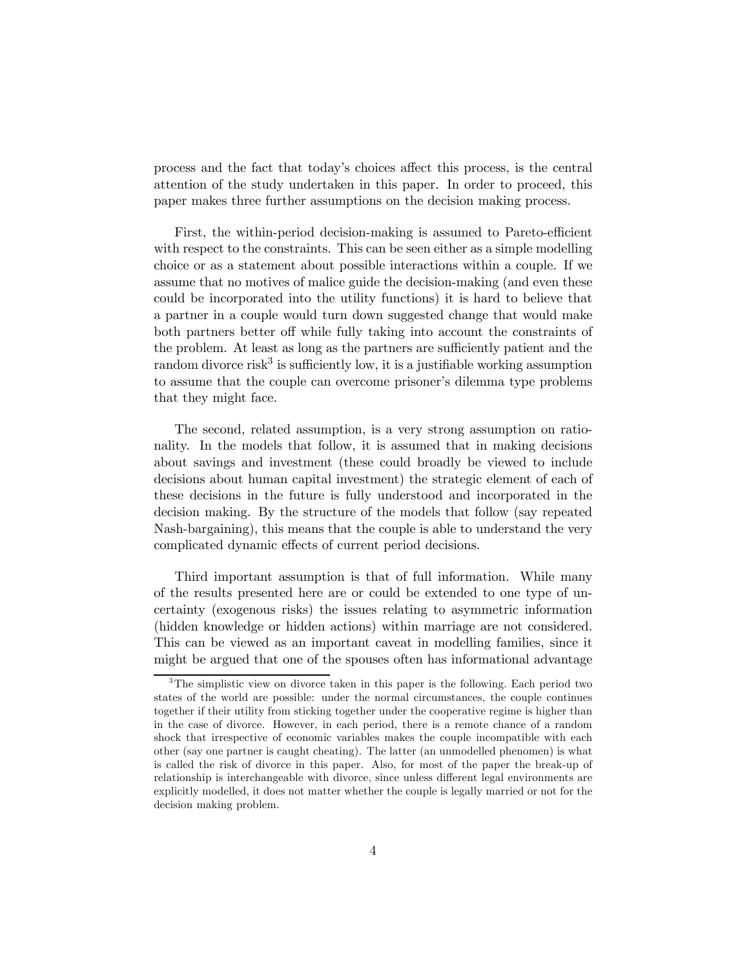process and the fact that today's choices affect this process, is the central attention of the study undertaken in this paper. In order to proceed, this paper makes three further assumptions on the decision making process.

First, the within-period decision-making is assumed to Pareto-efficient with respect to the constraints. This can be seen either as a simple modelling choice or as a statement about possible interactions within a couple. If we assume that no motives of malice guide the decision-making (and even these could be incorporated into the utility functions) it is hard to believe that a partner in a couple would turn down suggested change that would make both partners better off while fully taking into account the constraints of the problem. At least as long as the partners are sufficiently patient and the random divorce risk<sup>3</sup> is sufficiently low, it is a justifiable working assumption to assume that the couple can overcome prisoner's dilemma type problems that they might face.

The second, related assumption, is a very strong assumption on rationality. In the models that follow, it is assumed that in making decisions about savings and investment (these could broadly be viewed to include decisions about human capital investment) the strategic element of each of these decisions in the future is fully understood and incorporated in the decision making. By the structure of the models that follow (say repeated Nash-bargaining), this means that the couple is able to understand the very complicated dynamic effects of current period decisions.

Third important assumption is that of full information. While many of the results presented here are or could be extended to one type of uncertainty (exogenous risks) the issues relating to asymmetric information (hidden knowledge or hidden actions) within marriage are not considered. This can be viewed as an important caveat in modelling families, since it might be argued that one of the spouses often has informational advantage

<sup>&</sup>lt;sup>3</sup>The simplistic view on divorce taken in this paper is the following. Each period two states of the world are possible: under the normal circumstances, the couple continues together if their utility from sticking together under the cooperative regime is higher than in the case of divorce. However, in each period, there is a remote chance of a random shock that irrespective of economic variables makes the couple incompatible with each other (say one partner is caught cheating). The latter (an unmodelled phenomen) is what is called the risk of divorce in this paper. Also, for most of the paper the break-up of relationship is interchangeable with divorce, since unless different legal environments are explicitly modelled, it does not matter whether the couple is legally married or not for the decision making problem.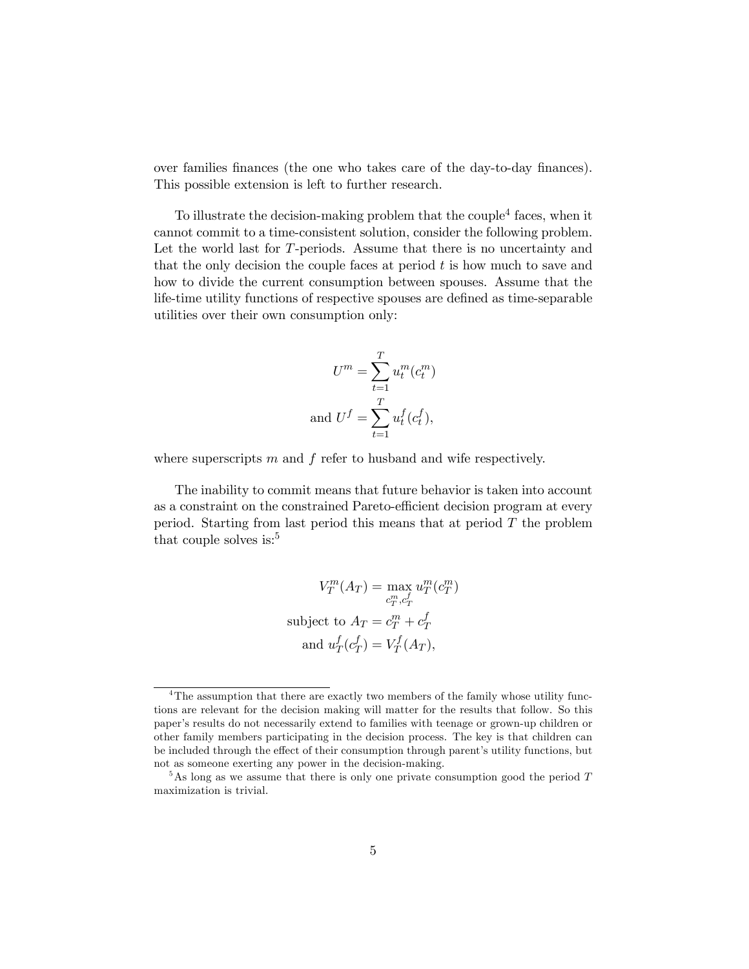over families finances (the one who takes care of the day-to-day finances). This possible extension is left to further research.

To illustrate the decision-making problem that the couple<sup>4</sup> faces, when it cannot commit to a time-consistent solution, consider the following problem. Let the world last for T-periods. Assume that there is no uncertainty and that the only decision the couple faces at period  $t$  is how much to save and how to divide the current consumption between spouses. Assume that the life-time utility functions of respective spouses are defined as time-separable utilities over their own consumption only:

$$
U^m = \sum_{t=1}^T u_t^m(c_t^m)
$$
  
and 
$$
U^f = \sum_{t=1}^T u_t^f(c_t^f),
$$

where superscripts  $m$  and  $f$  refer to husband and wife respectively.

The inability to commit means that future behavior is taken into account as a constraint on the constrained Pareto-efficient decision program at every period. Starting from last period this means that at period  $T$  the problem that couple solves is: $5$ 

$$
V_T^m(A_T) = \max_{c_T^m, c_T^f} u_T^m(c_T^m)
$$
  
subject to  $A_T = c_T^m + c_T^f$   
and  $u_T^f(c_T^f) = V_T^f(A_T)$ ,

<sup>&</sup>lt;sup>4</sup>The assumption that there are exactly two members of the family whose utility functions are relevant for the decision making will matter for the results that follow. So this paper's results do not necessarily extend to families with teenage or grown-up children or other family members participating in the decision process. The key is that children can be included through the effect of their consumption through parent's utility functions, but not as someone exerting any power in the decision-making.

 $5$ As long as we assume that there is only one private consumption good the period  $T$ maximization is trivial.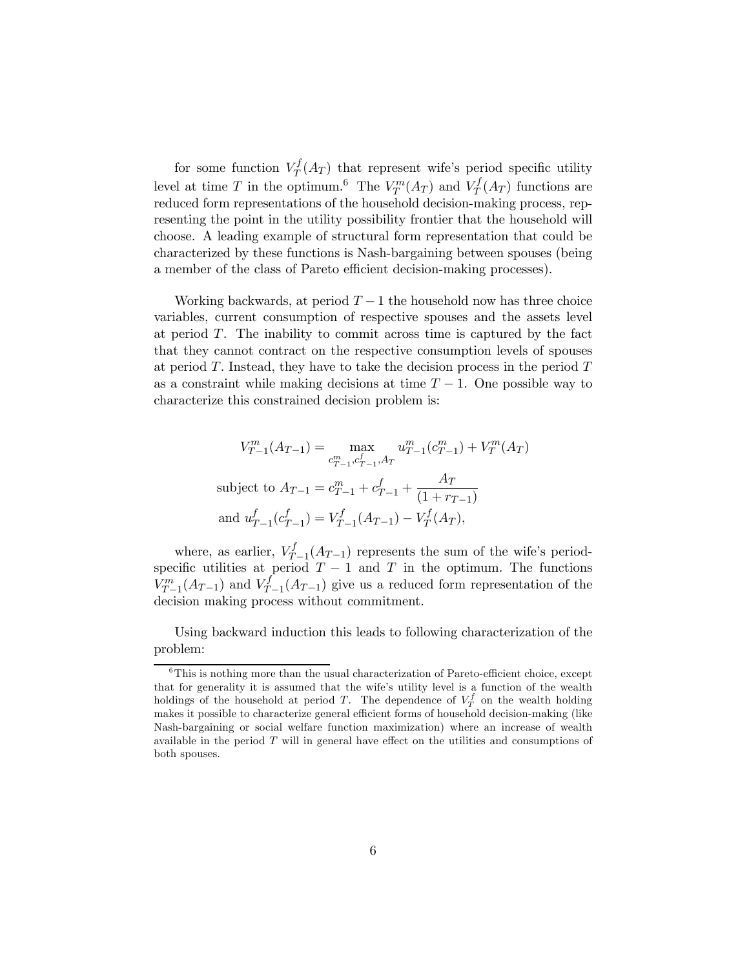for some function  $V_T^f(A_T)$  that represent wife's period specific utility level at time T in the optimum.<sup>6</sup> The  $V_T^m(A_T)$  and  $V_T^f(A_T)$  functions are reduced form representations of the household decision-making process, representing the point in the utility possibility frontier that the household will choose. A leading example of structural form representation that could be characterized by these functions is Nash-bargaining between spouses (being a member of the class of Pareto efficient decision-making processes).

Working backwards, at period  $T-1$  the household now has three choice variables, current consumption of respective spouses and the assets level at period  $T$ . The inability to commit across time is captured by the fact that they cannot contract on the respective consumption levels of spouses at period  $T$ . Instead, they have to take the decision process in the period  $T$ as a constraint while making decisions at time  $T - 1$ . One possible way to characterize this constrained decision problem is:

$$
V_{T-1}^m(A_{T-1}) = \max_{c_{T-1}^m, c_{T-1}^f, A_T} u_{T-1}^m(c_{T-1}^m) + V_T^m(A_T)
$$
  
subject to  $A_{T-1} = c_{T-1}^m + c_{T-1}^f + \frac{A_T}{(1 + r_{T-1})}$   
and  $u_{T-1}^f(c_{T-1}^f) = V_{T-1}^f(A_{T-1}) - V_T^f(A_T)$ ,

where, as earlier,  $V_{T-1}^f(A_{T-1})$  represents the sum of the wife's periodspecific utilities at period  $T - 1$  and T in the optimum. The functions  $V_{T-1}^m(A_{T-1})$  and  $V_{T-1}^f(A_{T-1})$  give us a reduced form representation of the decision making process without commitment.

Using backward induction this leads to following characterization of the problem:

 $6$ This is nothing more than the usual characterization of Pareto-efficient choice, except that for generality it is assumed that the wife's utility level is a function of the wealth holdings of the household at period T. The dependence of  $V_T^f$  on the wealth holding makes it possible to characterize general efficient forms of household decision-making (like Nash-bargaining or social welfare function maximization) where an increase of wealth available in the period  $T$  will in general have effect on the utilities and consumptions of both spouses.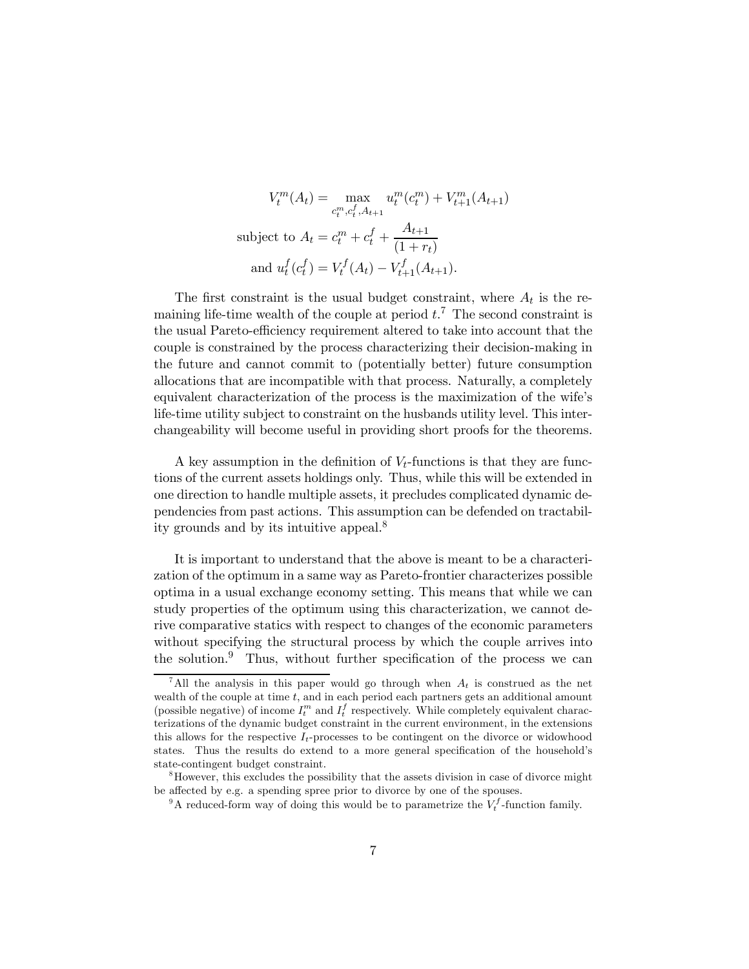$$
V_t^m(A_t) = \max_{c_t^m, c_t^f, A_{t+1}} u_t^m(c_t^m) + V_{t+1}^m(A_{t+1})
$$
  
subject to  $A_t = c_t^m + c_t^f + \frac{A_{t+1}}{(1+r_t)}$   
and  $u_t^f(c_t^f) = V_t^f(A_t) - V_{t+1}^f(A_{t+1}).$ 

The first constraint is the usual budget constraint, where  $A_t$  is the remaining life-time wealth of the couple at period  $t$ .<sup>7</sup> The second constraint is the usual Pareto-efficiency requirement altered to take into account that the couple is constrained by the process characterizing their decision-making in the future and cannot commit to (potentially better) future consumption allocations that are incompatible with that process. Naturally, a completely equivalent characterization of the process is the maximization of the wife's life-time utility subject to constraint on the husbands utility level. This interchangeability will become useful in providing short proofs for the theorems.

A key assumption in the definition of  $V_t$ -functions is that they are functions of the current assets holdings only. Thus, while this will be extended in one direction to handle multiple assets, it precludes complicated dynamic dependencies from past actions. This assumption can be defended on tractability grounds and by its intuitive appeal.<sup>8</sup>

It is important to understand that the above is meant to be a characterization of the optimum in a same way as Pareto-frontier characterizes possible optima in a usual exchange economy setting. This means that while we can study properties of the optimum using this characterization, we cannot derive comparative statics with respect to changes of the economic parameters without specifying the structural process by which the couple arrives into the solution.<sup>9</sup> Thus, without further specification of the process we can

<sup>&</sup>lt;sup>7</sup>All the analysis in this paper would go through when  $A_t$  is construed as the net wealth of the couple at time  $t$ , and in each period each partners gets an additional amount (possible negative) of income  $I_t^m$  and  $I_t^f$  respectively. While completely equivalent characterizations of the dynamic budget constraint in the current environment, in the extensions this allows for the respective  $I_t$ -processes to be contingent on the divorce or widowhood states. Thus the results do extend to a more general specification of the household's state-contingent budget constraint.

<sup>8</sup>However, this excludes the possibility that the assets division in case of divorce might be affected by e.g. a spending spree prior to divorce by one of the spouses.

<sup>&</sup>lt;sup>9</sup>A reduced-form way of doing this would be to parametrize the  $V_t^f$ -function family.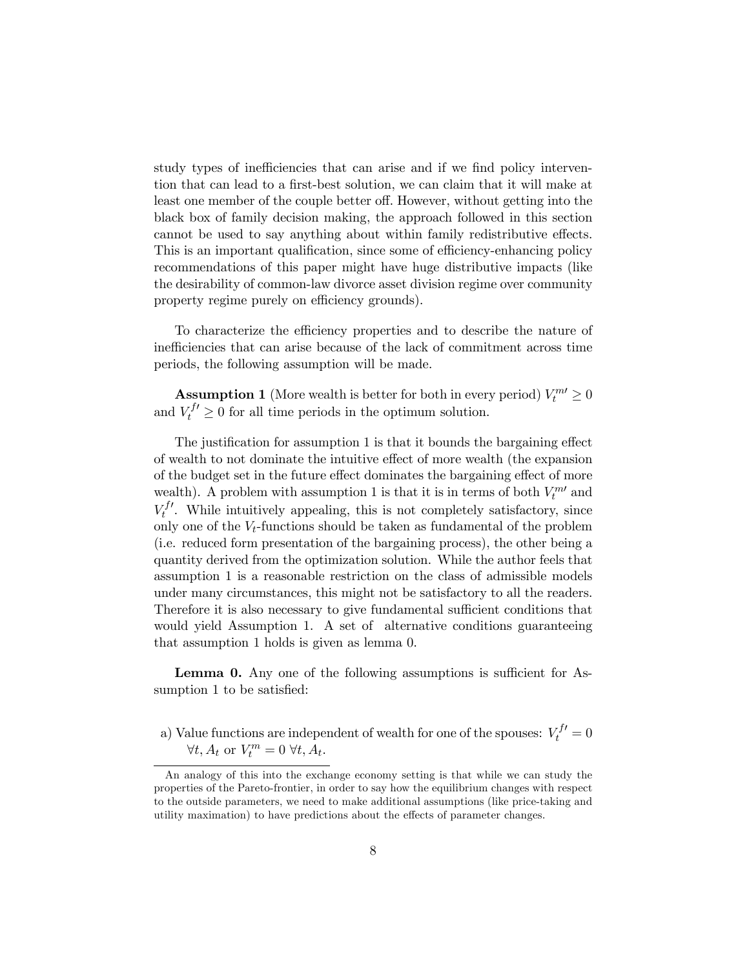study types of inefficiencies that can arise and if we find policy intervention that can lead to a first-best solution, we can claim that it will make at least one member of the couple better off. However, without getting into the black box of family decision making, the approach followed in this section cannot be used to say anything about within family redistributive effects. This is an important qualification, since some of efficiency-enhancing policy recommendations of this paper might have huge distributive impacts (like the desirability of common-law divorce asset division regime over community property regime purely on efficiency grounds).

To characterize the efficiency properties and to describe the nature of inefficiencies that can arise because of the lack of commitment across time periods, the following assumption will be made.

**Assumption 1** (More wealth is better for both in every period)  $V_t^{m} \ge 0$ and  $V_t^{f'} \geq 0$  for all time periods in the optimum solution.

The justification for assumption 1 is that it bounds the bargaining effect of wealth to not dominate the intuitive effect of more wealth (the expansion of the budget set in the future effect dominates the bargaining effect of more wealth). A problem with assumption 1 is that it is in terms of both  $V_t^{m}$  and  $V_t^{f'}$ . While intuitively appealing, this is not completely satisfactory, since only one of the  $V_t$ -functions should be taken as fundamental of the problem (i.e. reduced form presentation of the bargaining process), the other being a quantity derived from the optimization solution. While the author feels that assumption 1 is a reasonable restriction on the class of admissible models under many circumstances, this might not be satisfactory to all the readers. Therefore it is also necessary to give fundamental sufficient conditions that would yield Assumption 1. A set of alternative conditions guaranteeing that assumption 1 holds is given as lemma 0.

Lemma 0. Any one of the following assumptions is sufficient for Assumption 1 to be satisfied:

a) Value functions are independent of wealth for one of the spouses:  $V_t^{f'} = 0$  $\forall t, A_t \text{ or } V_t^m = 0 \ \forall t, A_t.$ 

An analogy of this into the exchange economy setting is that while we can study the properties of the Pareto-frontier, in order to say how the equilibrium changes with respect to the outside parameters, we need to make additional assumptions (like price-taking and utility maximation) to have predictions about the effects of parameter changes.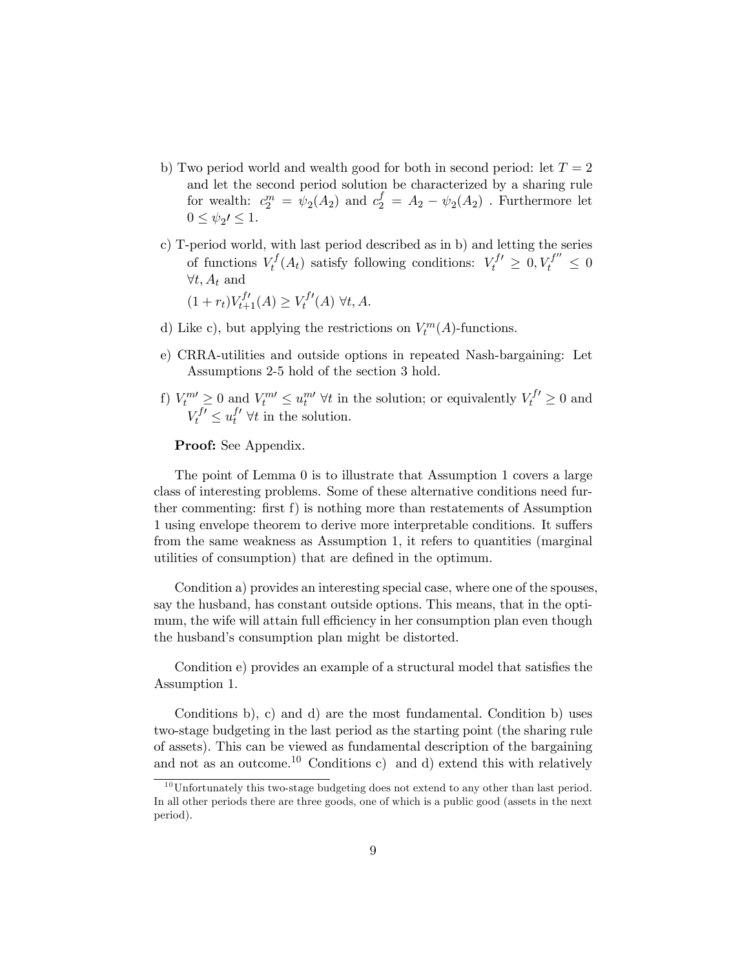- b) Two period world and wealth good for both in second period: let  $T = 2$ and let the second period solution be characterized by a sharing rule for wealth:  $c_2^m = \psi_2(A_2)$  and  $c_2^f = A_2 - \psi_2(A_2)$ . Furthermore let  $0 \leq \psi_2 \prime \leq 1$ .
- c) T-period world, with last period described as in b) and letting the series of functions  $V_t^f(A_t)$  satisfy following conditions:  $V_t^{f'} \geq 0, V_t^{f''} \leq 0$  $∀t, A_t$  and

 $(1 + r_t)V_{t+1}^{f'}(A) \geq V_t^{f'}(A) \,\forall t, A.$ 

- d) Like c), but applying the restrictions on  $V_t^m(A)$ -functions.
- e) CRRA-utilities and outside options in repeated Nash-bargaining: Let Assumptions 2-5 hold of the section 3 hold.
- f)  $V_t^m \geq 0$  and  $V_t^m \leq u_t^{m}$   $\forall t$  in the solution; or equivalently  $V_t^{f'} \geq 0$  and  $V_t^{f'} \leq u_t^{f'} \ \forall t$  in the solution.

#### Proof: See Appendix.

The point of Lemma 0 is to illustrate that Assumption 1 covers a large class of interesting problems. Some of these alternative conditions need further commenting: first f) is nothing more than restatements of Assumption 1 using envelope theorem to derive more interpretable conditions. It suffers from the same weakness as Assumption 1, it refers to quantities (marginal utilities of consumption) that are defined in the optimum.

Condition a) provides an interesting special case, where one of the spouses, say the husband, has constant outside options. This means, that in the optimum, the wife will attain full efficiency in her consumption plan even though the husband's consumption plan might be distorted.

Condition e) provides an example of a structural model that satisfies the Assumption 1.

Conditions b), c) and d) are the most fundamental. Condition b) uses two-stage budgeting in the last period as the starting point (the sharing rule of assets). This can be viewed as fundamental description of the bargaining and not as an outcome.<sup>10</sup> Conditions c) and d) extend this with relatively

 $10$ Unfortunately this two-stage budgeting does not extend to any other than last period. In all other periods there are three goods, one of which is a public good (assets in the next period).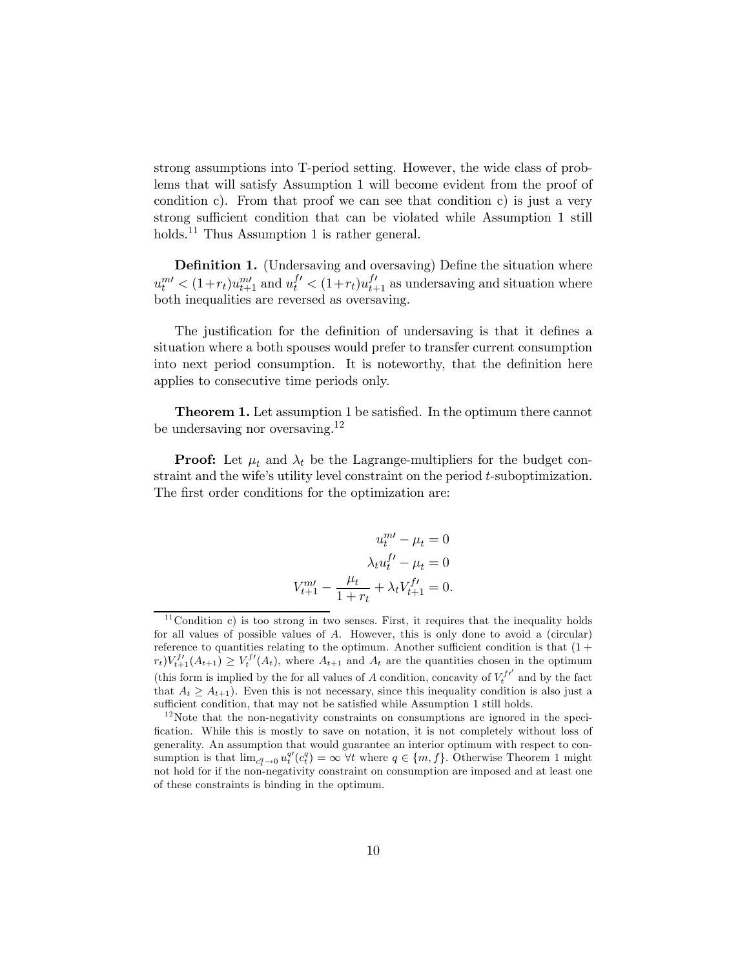strong assumptions into T-period setting. However, the wide class of problems that will satisfy Assumption 1 will become evident from the proof of condition c). From that proof we can see that condition c) is just a very strong sufficient condition that can be violated while Assumption 1 still holds.<sup>11</sup> Thus Assumption 1 is rather general.

Definition 1. (Undersaving and oversaving) Define the situation where  $u_t^{m'} < (1+r_t)u_{t+1}^{m'}$  and  $u_t^{f'} < (1+r_t)u_{t+1}^{f'}$  as undersaving and situation where both inequalities are reversed as oversaving.

The justification for the definition of undersaving is that it defines a situation where a both spouses would prefer to transfer current consumption into next period consumption. It is noteworthy, that the definition here applies to consecutive time periods only.

Theorem 1. Let assumption 1 be satisfied. In the optimum there cannot be undersaving nor oversaving.<sup>12</sup>

**Proof:** Let  $\mu_t$  and  $\lambda_t$  be the Lagrange-multipliers for the budget constraint and the wife's utility level constraint on the period t-suboptimization. The first order conditions for the optimization are:

$$
u_t^{m'} - \mu_t = 0
$$

$$
\lambda_t u_t^{f'} - \mu_t = 0
$$

$$
V_{t+1}^{m'} - \frac{\mu_t}{1 + r_t} + \lambda_t V_{t+1}^{f'} = 0.
$$

 $11$ Condition c) is too strong in two senses. First, it requires that the inequality holds for all values of possible values of A. However, this is only done to avoid a (circular) reference to quantities relating to the optimum. Another sufficient condition is that  $(1 +$  $r_t)V_{t+1}^{f'}(A_{t+1}) \geq V_t^{f'}(A_t)$ , where  $A_{t+1}$  and  $A_t$  are the quantities chosen in the optimum (this form is implied by the for all values of A condition, concavity of  $V_t^{f'}$  and by the fact that  $A_t > A_{t+1}$ ). Even this is not necessary, since this inequality condition is also just a sufficient condition, that may not be satisfied while Assumption 1 still holds.

 $12$  Note that the non-negativity constraints on consumptions are ignored in the specification. While this is mostly to save on notation, it is not completely without loss of generality. An assumption that would guarantee an interior optimum with respect to consumption is that  $\lim_{c_t^q \to 0} u_t^{q'}(c_t^q) = \infty$   $\forall t$  where  $q \in \{m, f\}$ . Otherwise Theorem 1 might not hold for if the non-negativity constraint on consumption are imposed and at least one of these constraints is binding in the optimum.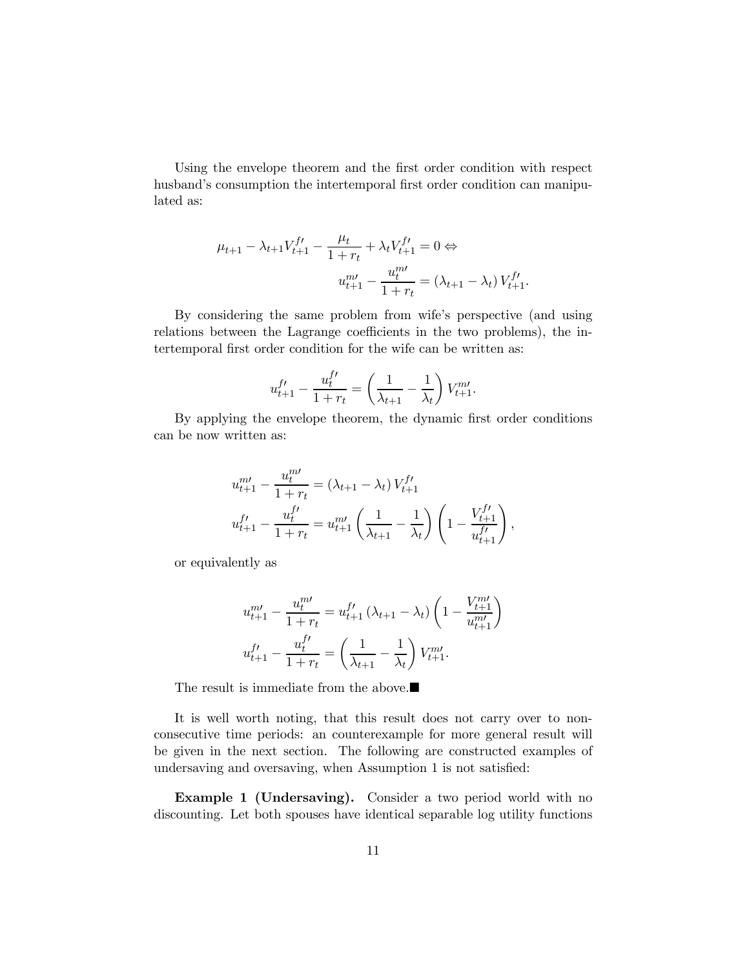Using the envelope theorem and the first order condition with respect husband's consumption the intertemporal first order condition can manipulated as:

$$
\mu_{t+1} - \lambda_{t+1} V_{t+1}^{f} - \frac{\mu_t}{1 + r_t} + \lambda_t V_{t+1}^{f'} = 0 \Leftrightarrow
$$

$$
u_{t+1}^{m'} - \frac{u_t^{m'}}{1 + r_t} = (\lambda_{t+1} - \lambda_t) V_{t+1}^{f'}
$$

By considering the same problem from wife's perspective (and using relations between the Lagrange coefficients in the two problems), the intertemporal first order condition for the wife can be written as:

$$
u_{t+1}^{f\prime} - \frac{u_t^{f\prime}}{1+r_t} = \left(\frac{1}{\lambda_{t+1}} - \frac{1}{\lambda_t}\right) V_{t+1}^{m\prime}.
$$

By applying the envelope theorem, the dynamic first order conditions can be now written as:

$$
u_{t+1}^{m\prime} - \frac{u_t^{m\prime}}{1+r_t} = (\lambda_{t+1} - \lambda_t) V_{t+1}^{f\prime}
$$
  

$$
u_{t+1}^{f\prime} - \frac{u_t^{f\prime}}{1+r_t} = u_{t+1}^{m\prime} \left(\frac{1}{\lambda_{t+1}} - \frac{1}{\lambda_t}\right) \left(1 - \frac{V_{t+1}^{f\prime}}{u_{t+1}^{f\prime}}\right)
$$

,

or equivalently as

$$
u_{t+1}^{m\prime} - \frac{u_t^{m\prime}}{1+r_t} = u_{t+1}^{f\prime} (\lambda_{t+1} - \lambda_t) \left(1 - \frac{V_{t+1}^{m\prime}}{u_{t+1}^{m\prime}}\right)
$$
  

$$
u_{t+1}^{f\prime} - \frac{u_t^{f\prime}}{1+r_t} = \left(\frac{1}{\lambda_{t+1}} - \frac{1}{\lambda_t}\right) V_{t+1}^{m\prime}.
$$

The result is immediate from the above. $\blacksquare$ 

It is well worth noting, that this result does not carry over to nonconsecutive time periods: an counterexample for more general result will be given in the next section. The following are constructed examples of undersaving and oversaving, when Assumption 1 is not satisfied:

Example 1 (Undersaving). Consider a two period world with no discounting. Let both spouses have identical separable log utility functions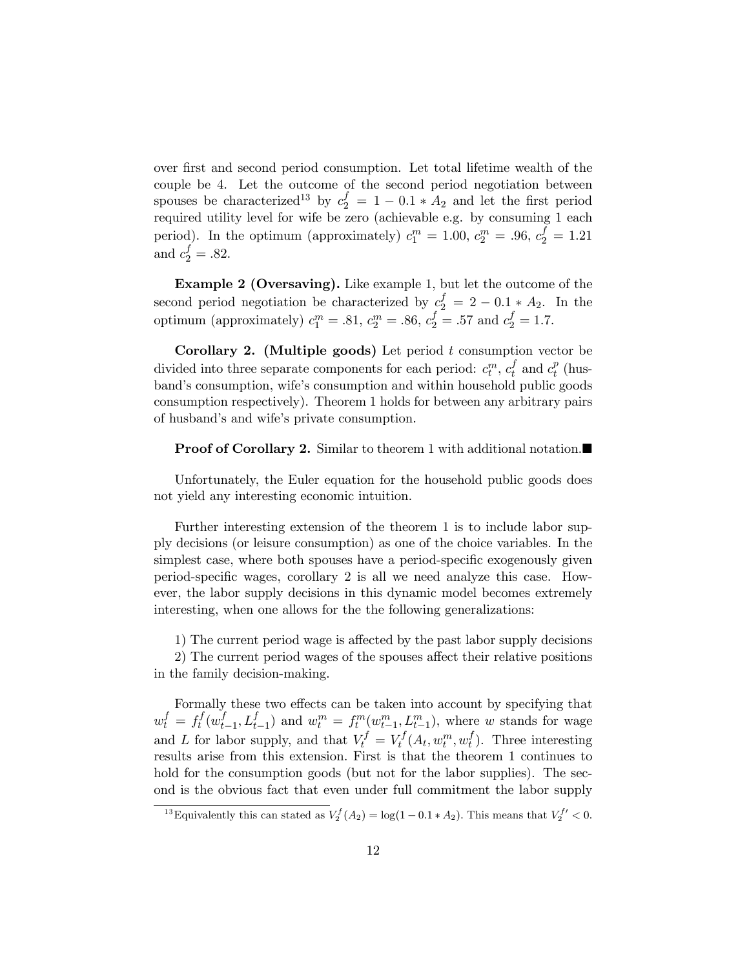over first and second period consumption. Let total lifetime wealth of the couple be 4. Let the outcome of the second period negotiation between spouses be characterized<sup>13</sup> by  $c_2^f = 1 - 0.1 * A_2$  and let the first period required utility level for wife be zero (achievable e.g. by consuming 1 each period). In the optimum (approximately)  $c_1^m = 1.00, c_2^m = .96, c_2^f = 1.21$ and  $c_2^f = .82$ .

Example 2 (Oversaving). Like example 1, but let the outcome of the second period negotiation be characterized by  $c_2^f = 2 - 0.1 * A_2$ . In the optimum (approximately)  $c_1^m = .81, c_2^m = .86, c_2^f = .57$  and  $c_2^f = 1.7$ .

**Corollary 2.** (Multiple goods) Let period  $t$  consumption vector be divided into three separate components for each period:  $c_t^m$ ,  $c_t^f$  and  $c_t^p$  (husband's consumption, wife's consumption and within household public goods consumption respectively). Theorem 1 holds for between any arbitrary pairs of husband's and wife's private consumption.

#### **Proof of Corollary 2.** Similar to theorem 1 with additional notation.■

Unfortunately, the Euler equation for the household public goods does not yield any interesting economic intuition.

Further interesting extension of the theorem 1 is to include labor supply decisions (or leisure consumption) as one of the choice variables. In the simplest case, where both spouses have a period-specific exogenously given period-specific wages, corollary 2 is all we need analyze this case. However, the labor supply decisions in this dynamic model becomes extremely interesting, when one allows for the the following generalizations:

1) The current period wage is affected by the past labor supply decisions

2) The current period wages of the spouses affect their relative positions in the family decision-making.

Formally these two effects can be taken into account by specifying that  $w_t^f = f_t^f(w_{t-1}^f, L_{t-1}^f)$  and  $w_t^m = f_t^m(w_{t-1}^m, L_{t-1}^m)$ , where w stands for wage and L for labor supply, and that  $V_t^f = V_t^f(A_t, w_t^m, w_t^f)$ . Three interesting results arise from this extension. First is that the theorem 1 continues to hold for the consumption goods (but not for the labor supplies). The second is the obvious fact that even under full commitment the labor supply

<sup>&</sup>lt;sup>13</sup> Equivalently this can stated as  $V_2^f(A_2) = \log(1 - 0.1 * A_2)$ . This means that  $V_2^{f'} < 0$ .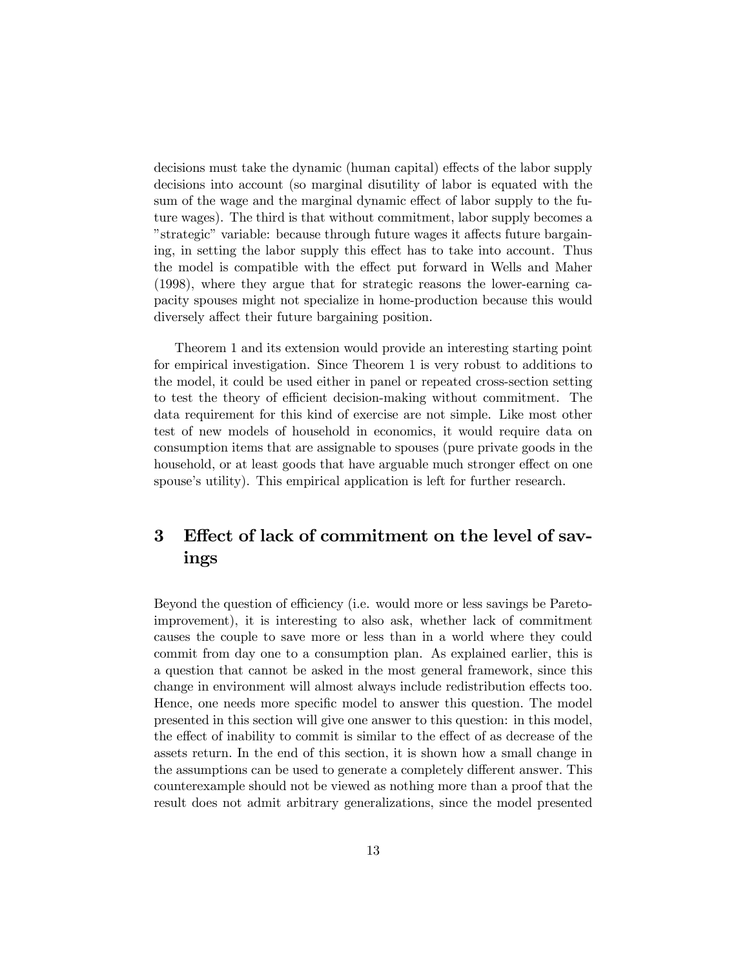decisions must take the dynamic (human capital) effects of the labor supply decisions into account (so marginal disutility of labor is equated with the sum of the wage and the marginal dynamic effect of labor supply to the future wages). The third is that without commitment, labor supply becomes a "strategic" variable: because through future wages it affects future bargaining, in setting the labor supply this effect has to take into account. Thus the model is compatible with the effect put forward in Wells and Maher (1998), where they argue that for strategic reasons the lower-earning capacity spouses might not specialize in home-production because this would diversely affect their future bargaining position.

Theorem 1 and its extension would provide an interesting starting point for empirical investigation. Since Theorem 1 is very robust to additions to the model, it could be used either in panel or repeated cross-section setting to test the theory of efficient decision-making without commitment. The data requirement for this kind of exercise are not simple. Like most other test of new models of household in economics, it would require data on consumption items that are assignable to spouses (pure private goods in the household, or at least goods that have arguable much stronger effect on one spouse's utility). This empirical application is left for further research.

# 3 Effect of lack of commitment on the level of savings

Beyond the question of efficiency (i.e. would more or less savings be Paretoimprovement), it is interesting to also ask, whether lack of commitment causes the couple to save more or less than in a world where they could commit from day one to a consumption plan. As explained earlier, this is a question that cannot be asked in the most general framework, since this change in environment will almost always include redistribution effects too. Hence, one needs more specific model to answer this question. The model presented in this section will give one answer to this question: in this model, the effect of inability to commit is similar to the effect of as decrease of the assets return. In the end of this section, it is shown how a small change in the assumptions can be used to generate a completely different answer. This counterexample should not be viewed as nothing more than a proof that the result does not admit arbitrary generalizations, since the model presented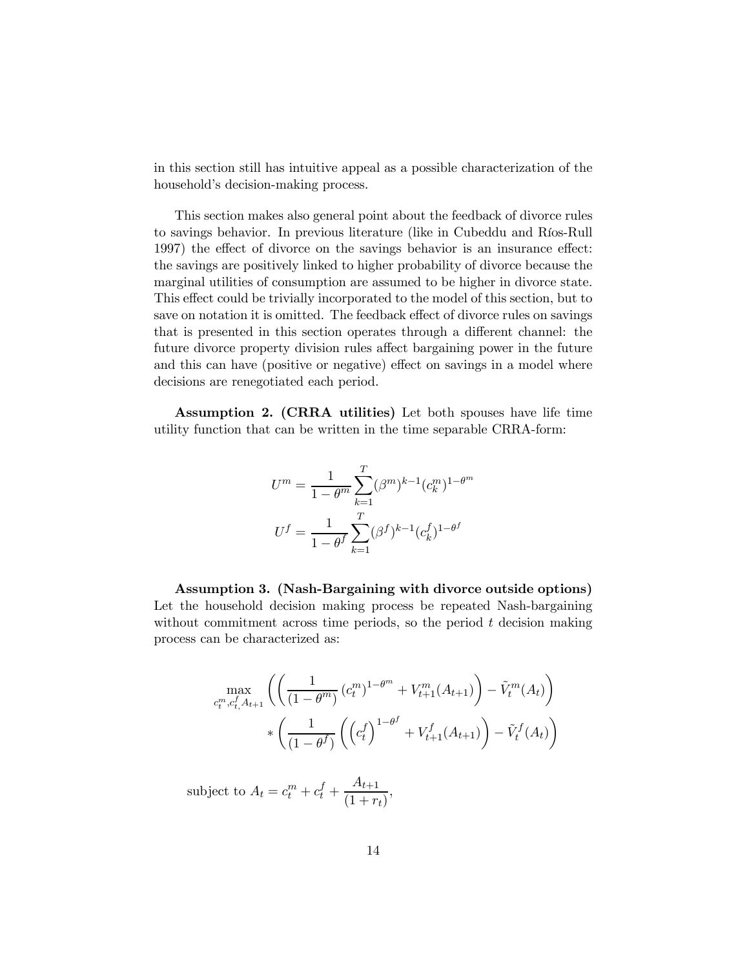in this section still has intuitive appeal as a possible characterization of the household's decision-making process.

This section makes also general point about the feedback of divorce rules to savings behavior. In previous literature (like in Cubeddu and Ríos-Rull 1997) the effect of divorce on the savings behavior is an insurance effect: the savings are positively linked to higher probability of divorce because the marginal utilities of consumption are assumed to be higher in divorce state. This effect could be trivially incorporated to the model of this section, but to save on notation it is omitted. The feedback effect of divorce rules on savings that is presented in this section operates through a different channel: the future divorce property division rules affect bargaining power in the future and this can have (positive or negative) effect on savings in a model where decisions are renegotiated each period.

Assumption 2. (CRRA utilities) Let both spouses have life time utility function that can be written in the time separable CRRA-form:

$$
U^{m} = \frac{1}{1 - \theta^{m}} \sum_{k=1}^{T} (\beta^{m})^{k-1} (c_{k}^{m})^{1 - \theta^{m}}
$$

$$
U^{f} = \frac{1}{1 - \theta^{f}} \sum_{k=1}^{T} (\beta^{f})^{k-1} (c_{k}^{f})^{1 - \theta^{f}}
$$

Assumption 3. (Nash-Bargaining with divorce outside options) Let the household decision making process be repeated Nash-bargaining without commitment across time periods, so the period  $t$  decision making process can be characterized as:

$$
\max_{c_t^m, c_t^f, A_{t+1}} \left( \left( \frac{1}{(1 - \theta^m)} (c_t^m)^{1 - \theta^m} + V_{t+1}^m(A_{t+1}) \right) - \tilde{V}_t^m(A_t) \right) \times \left( \frac{1}{(1 - \theta^f)} \left( \left( c_t^f \right)^{1 - \theta^f} + V_{t+1}^f(A_{t+1}) \right) - \tilde{V}_t^f(A_t) \right)
$$

subject to  $A_t = c_t^m + c_t^f + \frac{A_{t+1}}{(1+r)}$  $\frac{1}{(1+r_t)},$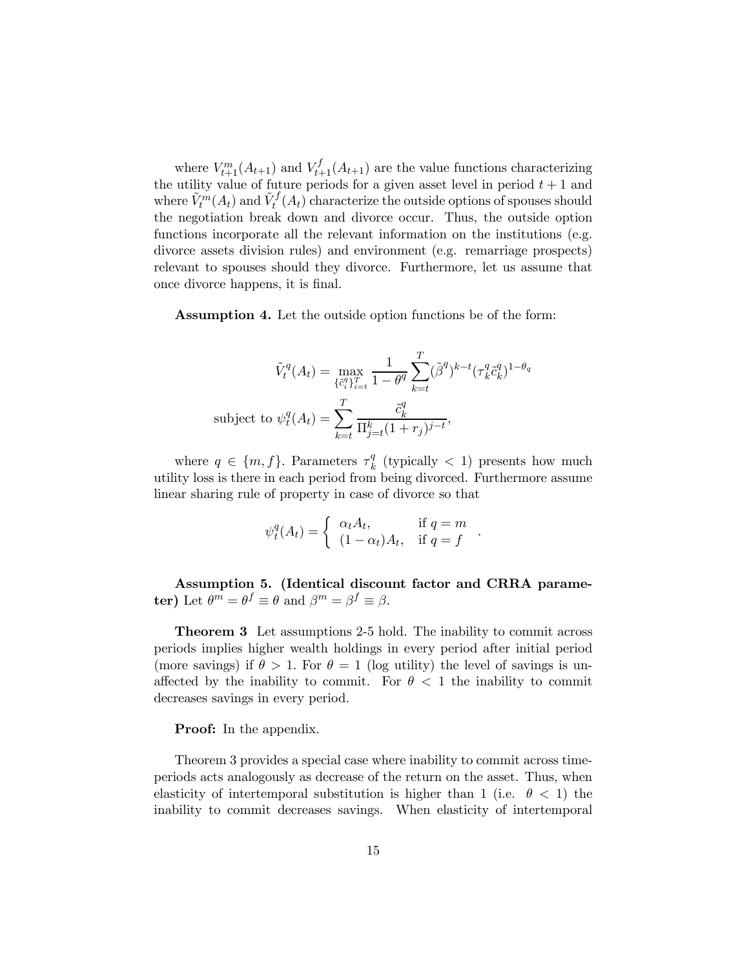where  $V_{t+1}^m(A_{t+1})$  and  $V_{t+1}^f(A_{t+1})$  are the value functions characterizing the utility value of future periods for a given asset level in period  $t + 1$  and where  $\tilde{V}^m_t(A_t)$  and  $\tilde{V}^f_t(A_t)$  characterize the outside options of spouses should the negotiation break down and divorce occur. Thus, the outside option functions incorporate all the relevant information on the institutions (e.g. divorce assets division rules) and environment (e.g. remarriage prospects) relevant to spouses should they divorce. Furthermore, let us assume that once divorce happens, it is final.

Assumption 4. Let the outside option functions be of the form:

$$
\tilde{V}_t^q(A_t) = \max_{\{\tilde{c}_i^q\}_{i=t}^T} \frac{1}{1-\theta^q} \sum_{k=t}^T (\tilde{\beta}^q)^{k-t} (\tau_k^q \tilde{c}_k^q)^{1-\theta_q}
$$
\nsubject to 
$$
\psi_t^q(A_t) = \sum_{k=t}^T \frac{\tilde{c}_k^q}{\Pi_{j=t}^k (1+r_j)^{j-t}},
$$

where  $q \in \{m, f\}$ . Parameters  $\tau_k^q$  (typically  $\lt 1$ ) presents how much utility loss is there in each period from being divorced. Furthermore assume linear sharing rule of property in case of divorce so that

$$
\psi_t^q(A_t) = \begin{cases} \alpha_t A_t, & \text{if } q = m \\ (1 - \alpha_t) A_t, & \text{if } q = f \end{cases}.
$$

Assumption 5. (Identical discount factor and CRRA parameter) Let  $\theta^m = \theta^f \equiv \theta$  and  $\beta^m = \beta^f \equiv \beta$ .

Theorem 3 Let assumptions 2-5 hold. The inability to commit across periods implies higher wealth holdings in every period after initial period (more savings) if  $\theta > 1$ . For  $\theta = 1$  (log utility) the level of savings is unaffected by the inability to commit. For  $\theta < 1$  the inability to commit decreases savings in every period.

#### **Proof:** In the appendix.

Theorem 3 provides a special case where inability to commit across timeperiods acts analogously as decrease of the return on the asset. Thus, when elasticity of intertemporal substitution is higher than 1 (i.e.  $\theta$  < 1) the inability to commit decreases savings. When elasticity of intertemporal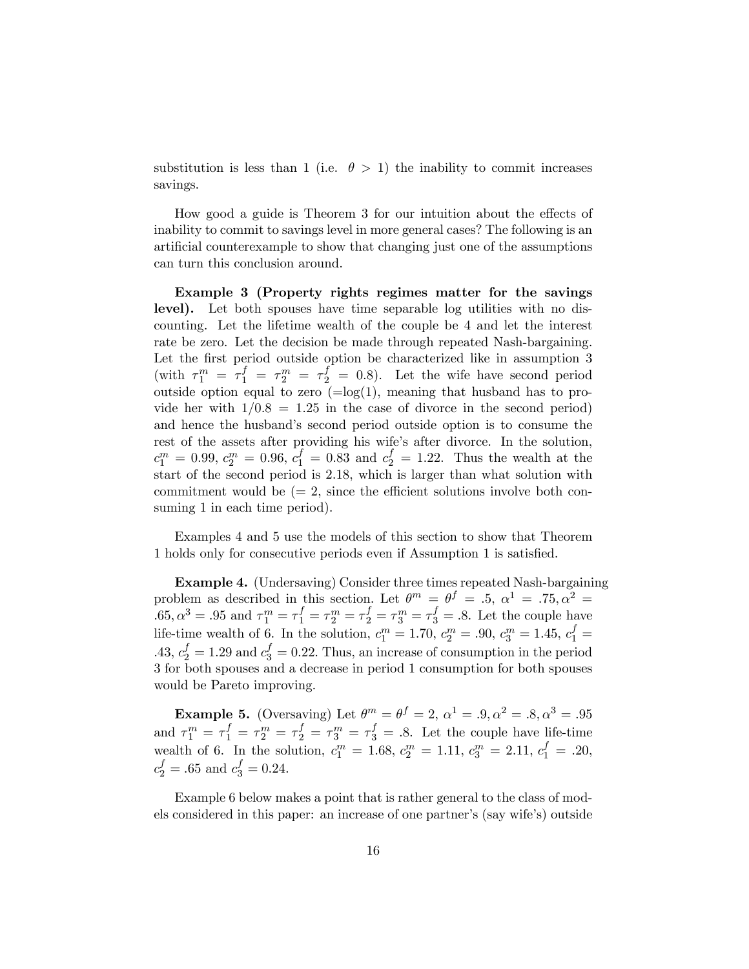substitution is less than 1 (i.e.  $\theta > 1$ ) the inability to commit increases savings.

How good a guide is Theorem 3 for our intuition about the effects of inability to commit to savings level in more general cases? The following is an artificial counterexample to show that changing just one of the assumptions can turn this conclusion around.

Example 3 (Property rights regimes matter for the savings level). Let both spouses have time separable log utilities with no discounting. Let the lifetime wealth of the couple be 4 and let the interest rate be zero. Let the decision be made through repeated Nash-bargaining. Let the first period outside option be characterized like in assumption 3 (with  $\tau_1^m = \tau_1^f = \tau_2^m = \tau_2^f = 0.8$ ). Let the wife have second period outside option equal to zero  $(=\log(1))$ , meaning that husband has to provide her with  $1/0.8=1.25$  in the case of divorce in the second period) and hence the husband's second period outside option is to consume the rest of the assets after providing his wife's after divorce. In the solution,  $c_1^m = 0.99, c_2^m = 0.96, c_1^f = 0.83$  and  $c_2^f = 1.22$ . Thus the wealth at the start of the second period is 2.18, which is larger than what solution with commitment would be  $(= 2, \text{ since the efficient solutions involve both con$ suming 1 in each time period).

Examples 4 and 5 use the models of this section to show that Theorem 1 holds only for consecutive periods even if Assumption 1 is satisfied.

Example 4. (Undersaving) Consider three times repeated Nash-bargaining problem as described in this section. Let  $\theta^m = \theta^f = .5$ ,  $\alpha^1 = .75$ ,  $\alpha^2 =$ .65,  $\alpha^3 = .95$  and  $\tau_1^m = \tau_1^f = \tau_2^m = \tau_2^f = \tau_3^m = \tau_3^f = .8$ . Let the couple have life-time wealth of 6. In the solution,  $c_1^m = 1.70, c_2^m = .90, c_3^m = 1.45, c_1^f =$ .43,  $c_2^f = 1.29$  and  $c_3^f = 0.22$ . Thus, an increase of consumption in the period 3 for both spouses and a decrease in period 1 consumption for both spouses would be Pareto improving.

**Example 5.** (Oversaving) Let  $\theta^m = \theta^f = 2$ ,  $\alpha^1 = .9, \alpha^2 = .8, \alpha^3 = .95$ and  $\tau_1^m = \tau_1^f = \tau_2^m = \tau_2^f = \tau_3^m = \tau_3^f = .8$ . Let the couple have life-time wealth of 6. In the solution,  $c_1^m = 1.68$ ,  $c_2^m = 1.11$ ,  $c_3^m = 2.11$ ,  $c_1^f = .20$ ,  $c_2^f = .65$  and  $c_3^f = 0.24$ .

Example 6 below makes a point that is rather general to the class of models considered in this paper: an increase of one partner's (say wife's) outside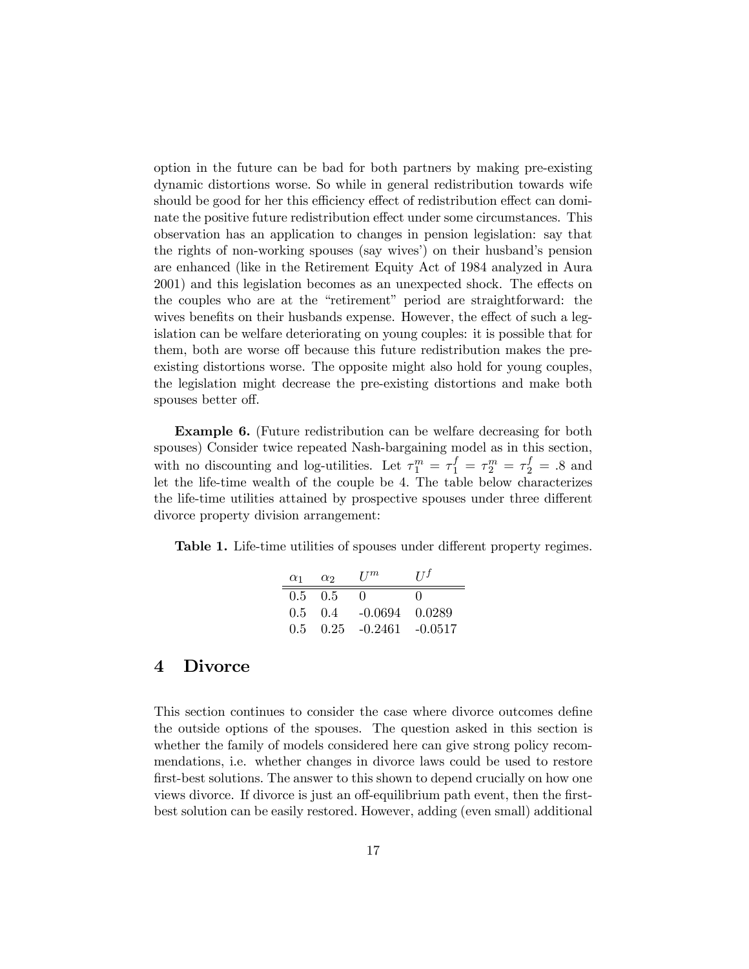option in the future can be bad for both partners by making pre-existing dynamic distortions worse. So while in general redistribution towards wife should be good for her this efficiency effect of redistribution effect can dominate the positive future redistribution effect under some circumstances. This observation has an application to changes in pension legislation: say that the rights of non-working spouses (say wives') on their husband's pension are enhanced (like in the Retirement Equity Act of 1984 analyzed in Aura 2001) and this legislation becomes as an unexpected shock. The effects on the couples who are at the "retirement" period are straightforward: the wives benefits on their husbands expense. However, the effect of such a legislation can be welfare deteriorating on young couples: it is possible that for them, both are worse off because this future redistribution makes the preexisting distortions worse. The opposite might also hold for young couples, the legislation might decrease the pre-existing distortions and make both spouses better off.

Example 6. (Future redistribution can be welfare decreasing for both spouses) Consider twice repeated Nash-bargaining model as in this section, with no discounting and log-utilities. Let  $\tau_1^m = \tau_1^f = \tau_2^m = \tau_2^f = .8$  and let the life-time wealth of the couple be 4. The table below characterizes the life-time utilities attained by prospective spouses under three different divorce property division arrangement:

Table 1. Life-time utilities of spouses under different property regimes.

| $\alpha_1$    | $\alpha$ | $_{I^{\prime}I^m}$ | $II^f$       |
|---------------|----------|--------------------|--------------|
| $0.5^{\circ}$ | -0.5     |                    | $\mathbf{0}$ |
| 0.5           | (0.4)    | $-0.0694$ $0.0289$ |              |
| 0.5           | 0.25     | -0.2461            | -0.0517      |

### 4 Divorce

This section continues to consider the case where divorce outcomes define the outside options of the spouses. The question asked in this section is whether the family of models considered here can give strong policy recommendations, i.e. whether changes in divorce laws could be used to restore first-best solutions. The answer to this shown to depend crucially on how one views divorce. If divorce is just an off-equilibrium path event, then the firstbest solution can be easily restored. However, adding (even small) additional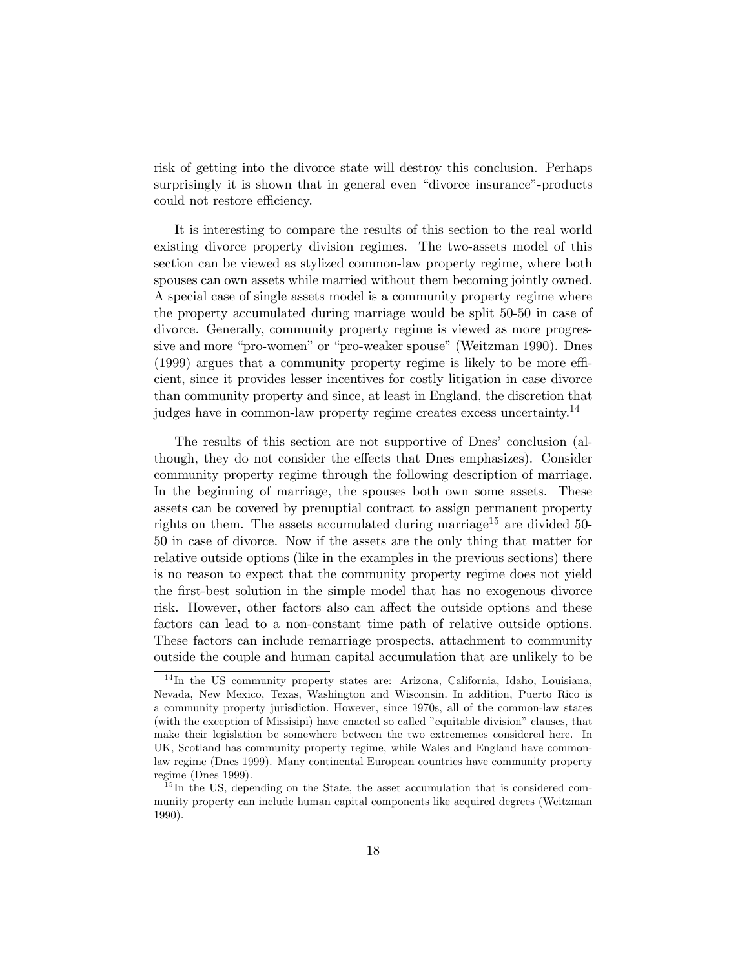risk of getting into the divorce state will destroy this conclusion. Perhaps surprisingly it is shown that in general even "divorce insurance"-products could not restore efficiency.

It is interesting to compare the results of this section to the real world existing divorce property division regimes. The two-assets model of this section can be viewed as stylized common-law property regime, where both spouses can own assets while married without them becoming jointly owned. A special case of single assets model is a community property regime where the property accumulated during marriage would be split 50-50 in case of divorce. Generally, community property regime is viewed as more progressive and more "pro-women" or "pro-weaker spouse" (Weitzman 1990). Dnes (1999) argues that a community property regime is likely to be more efficient, since it provides lesser incentives for costly litigation in case divorce than community property and since, at least in England, the discretion that judges have in common-law property regime creates excess uncertainty.14

The results of this section are not supportive of Dnes' conclusion (although, they do not consider the effects that Dnes emphasizes). Consider community property regime through the following description of marriage. In the beginning of marriage, the spouses both own some assets. These assets can be covered by prenuptial contract to assign permanent property rights on them. The assets accumulated during marriage<sup>15</sup> are divided 50-50 in case of divorce. Now if the assets are the only thing that matter for relative outside options (like in the examples in the previous sections) there is no reason to expect that the community property regime does not yield the first-best solution in the simple model that has no exogenous divorce risk. However, other factors also can affect the outside options and these factors can lead to a non-constant time path of relative outside options. These factors can include remarriage prospects, attachment to community outside the couple and human capital accumulation that are unlikely to be

<sup>&</sup>lt;sup>14</sup>In the US community property states are: Arizona, California, Idaho, Louisiana, Nevada, New Mexico, Texas, Washington and Wisconsin. In addition, Puerto Rico is a community property jurisdiction. However, since 1970s, all of the common-law states (with the exception of Missisipi) have enacted so called "equitable division" clauses, that make their legislation be somewhere between the two extrememes considered here. In UK, Scotland has community property regime, while Wales and England have commonlaw regime (Dnes 1999). Many continental European countries have community property regime (Dnes 1999).

 $15$  In the US, depending on the State, the asset accumulation that is considered community property can include human capital components like acquired degrees (Weitzman 1990).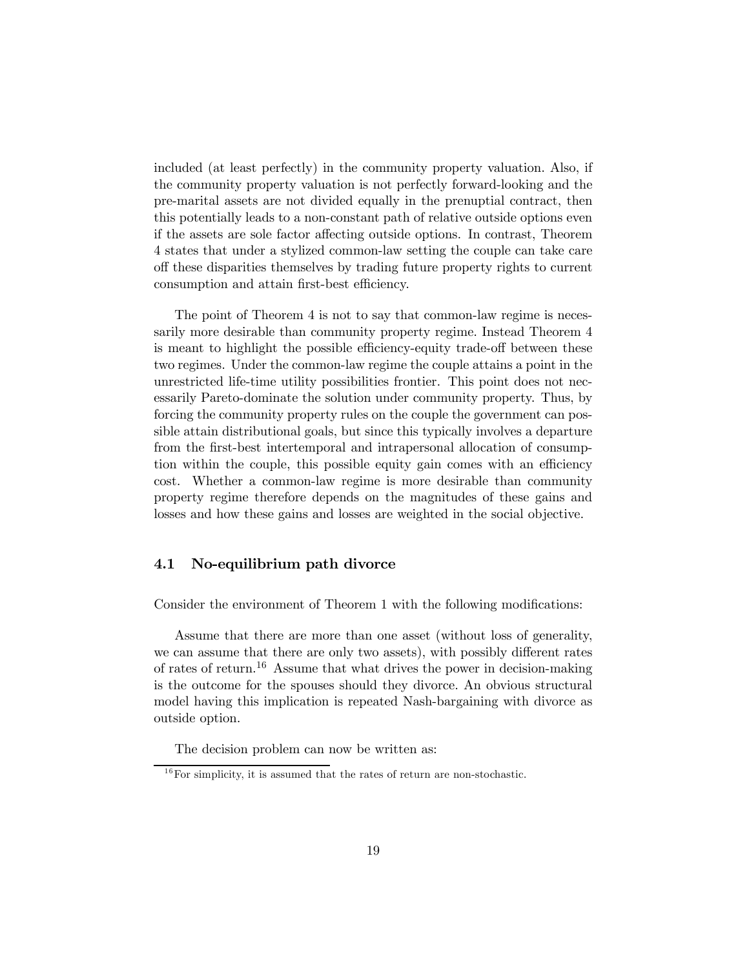included (at least perfectly) in the community property valuation. Also, if the community property valuation is not perfectly forward-looking and the pre-marital assets are not divided equally in the prenuptial contract, then this potentially leads to a non-constant path of relative outside options even if the assets are sole factor affecting outside options. In contrast, Theorem 4 states that under a stylized common-law setting the couple can take care off these disparities themselves by trading future property rights to current consumption and attain first-best efficiency.

The point of Theorem 4 is not to say that common-law regime is necessarily more desirable than community property regime. Instead Theorem 4 is meant to highlight the possible efficiency-equity trade-off between these two regimes. Under the common-law regime the couple attains a point in the unrestricted life-time utility possibilities frontier. This point does not necessarily Pareto-dominate the solution under community property. Thus, by forcing the community property rules on the couple the government can possible attain distributional goals, but since this typically involves a departure from the first-best intertemporal and intrapersonal allocation of consumption within the couple, this possible equity gain comes with an efficiency cost. Whether a common-law regime is more desirable than community property regime therefore depends on the magnitudes of these gains and losses and how these gains and losses are weighted in the social objective.

### 4.1 No-equilibrium path divorce

Consider the environment of Theorem 1 with the following modifications:

Assume that there are more than one asset (without loss of generality, we can assume that there are only two assets), with possibly different rates of rates of return.<sup>16</sup> Assume that what drives the power in decision-making is the outcome for the spouses should they divorce. An obvious structural model having this implication is repeated Nash-bargaining with divorce as outside option.

The decision problem can now be written as:

 $16$  For simplicity, it is assumed that the rates of return are non-stochastic.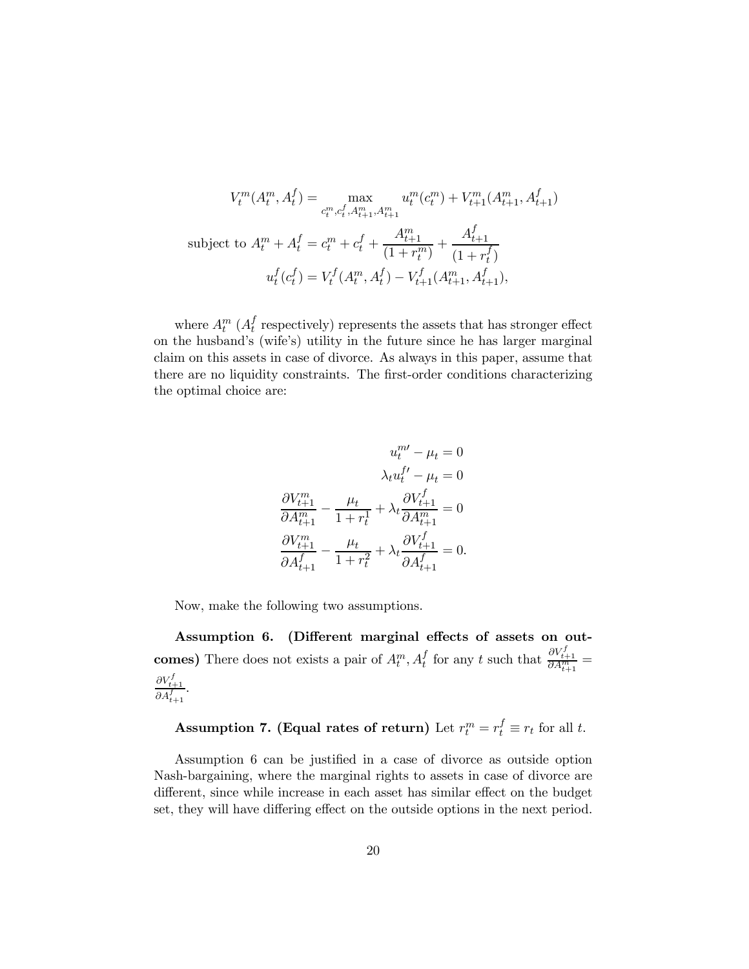$$
V_t^m(A_t^m, A_t^f) = \max_{c_t^m, c_t^f, A_{t+1}^m, A_{t+1}^m} u_t^m(c_t^m) + V_{t+1}^m(A_{t+1}^m, A_{t+1}^f)
$$
  
subject to  $A_t^m + A_t^f = c_t^m + c_t^f + \frac{A_{t+1}^m}{(1 + r_t^m)} + \frac{A_{t+1}^f}{(1 + r_t^f)}$   

$$
u_t^f(c_t^f) = V_t^f(A_t^m, A_t^f) - V_{t+1}^f(A_{t+1}^m, A_{t+1}^f),
$$

where  $A_t^m$  ( $A_t^f$  respectively) represents the assets that has stronger effect on the husband's (wife's) utility in the future since he has larger marginal claim on this assets in case of divorce. As always in this paper, assume that there are no liquidity constraints. The first-order conditions characterizing the optimal choice are:

$$
u_t^{m'} - \mu_t = 0
$$

$$
\lambda_t u_t^{f'} - \mu_t = 0
$$

$$
\frac{\partial V_{t+1}^m}{\partial A_{t+1}^m} - \frac{\mu_t}{1 + r_t^1} + \lambda_t \frac{\partial V_{t+1}^f}{\partial A_{t+1}^m} = 0
$$

$$
\frac{\partial V_{t+1}^m}{\partial A_{t+1}^f} - \frac{\mu_t}{1 + r_t^2} + \lambda_t \frac{\partial V_{t+1}^f}{\partial A_{t+1}^f} = 0.
$$

Now, make the following two assumptions.

Assumption 6. (Different marginal effects of assets on outcomes) There does not exists a pair of  $A_t^m$ ,  $A_t^f$  for any t such that  $\frac{\partial V_{t+1}^f}{\partial A_{t+1}^m}$  =  $\frac{\partial V_{t+1}^f}{\partial A_{t+1}^f}.$ 

Assumption 7. (Equal rates of return) Let  $r_t^m = r_t^f \equiv r_t$  for all t.

Assumption 6 can be justified in a case of divorce as outside option Nash-bargaining, where the marginal rights to assets in case of divorce are different, since while increase in each asset has similar effect on the budget set, they will have differing effect on the outside options in the next period.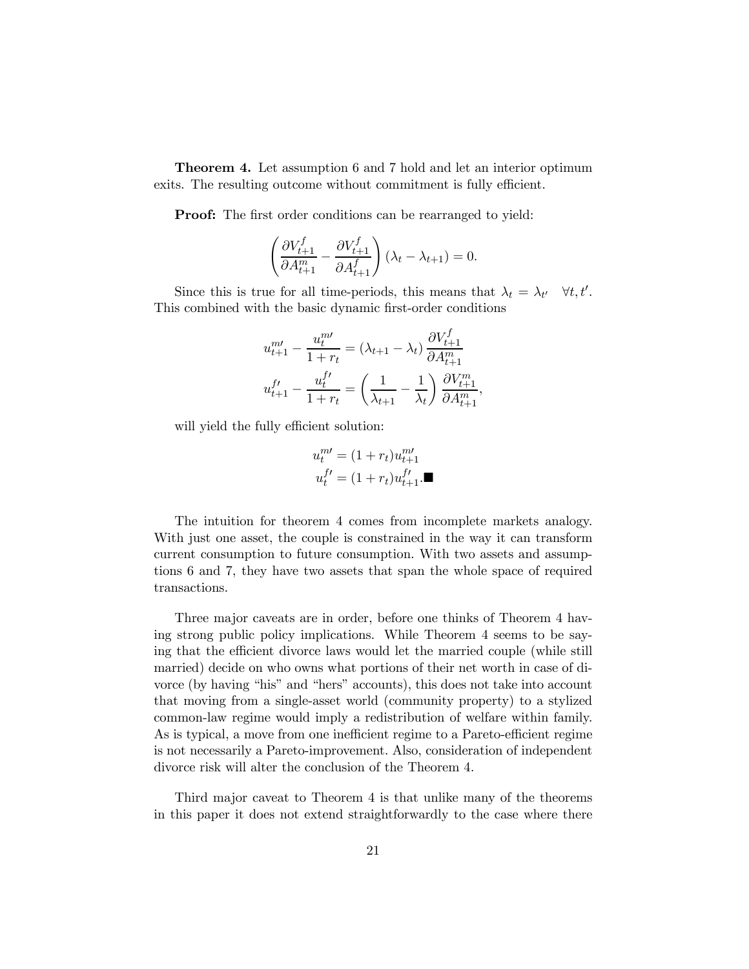Theorem 4. Let assumption 6 and 7 hold and let an interior optimum exits. The resulting outcome without commitment is fully efficient.

**Proof:** The first order conditions can be rearranged to yield:

$$
\left(\frac{\partial V_{t+1}^f}{\partial A_{t+1}^m}-\frac{\partial V_{t+1}^f}{\partial A_{t+1}^f}\right)(\lambda_t-\lambda_{t+1})=0.
$$

Since this is true for all time-periods, this means that  $\lambda_t = \lambda_{t'} \quad \forall t, t'.$ This combined with the basic dynamic first-order conditions

$$
u_{t+1}^{m'} - \frac{u_t^{m'}}{1+r_t} = (\lambda_{t+1} - \lambda_t) \frac{\partial V_{t+1}^f}{\partial A_{t+1}^m}
$$

$$
u_{t+1}^{f'} - \frac{u_t^{f'}}{1+r_t} = \left(\frac{1}{\lambda_{t+1}} - \frac{1}{\lambda_t}\right) \frac{\partial V_{t+1}^m}{\partial A_{t+1}^m},
$$

will yield the fully efficient solution:

$$
u_t^{m'} = (1 + r_t)u_{t+1}^{m'}
$$
  

$$
u_t^{f'} = (1 + r_t)u_{t+1}^{f'}
$$

The intuition for theorem 4 comes from incomplete markets analogy. With just one asset, the couple is constrained in the way it can transform current consumption to future consumption. With two assets and assumptions 6 and 7, they have two assets that span the whole space of required transactions.

Three major caveats are in order, before one thinks of Theorem 4 having strong public policy implications. While Theorem 4 seems to be saying that the efficient divorce laws would let the married couple (while still married) decide on who owns what portions of their net worth in case of divorce (by having "his" and "hers" accounts), this does not take into account that moving from a single-asset world (community property) to a stylized common-law regime would imply a redistribution of welfare within family. As is typical, a move from one inefficient regime to a Pareto-efficient regime is not necessarily a Pareto-improvement. Also, consideration of independent divorce risk will alter the conclusion of the Theorem 4.

Third major caveat to Theorem 4 is that unlike many of the theorems in this paper it does not extend straightforwardly to the case where there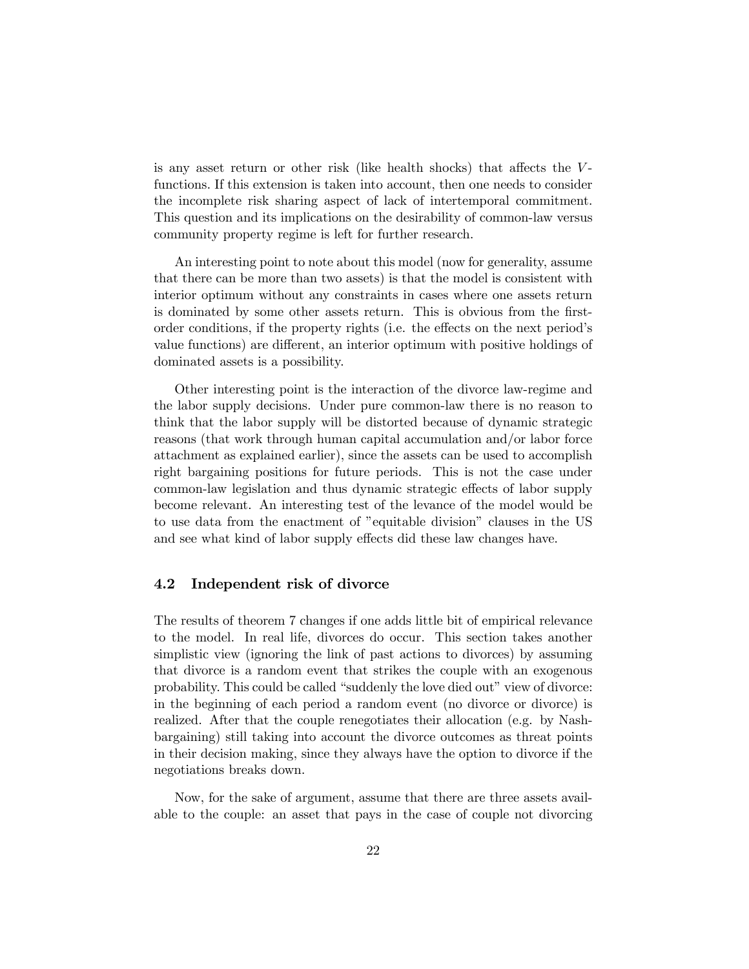is any asset return or other risk (like health shocks) that affects the Vfunctions. If this extension is taken into account, then one needs to consider the incomplete risk sharing aspect of lack of intertemporal commitment. This question and its implications on the desirability of common-law versus community property regime is left for further research.

An interesting point to note about this model (now for generality, assume that there can be more than two assets) is that the model is consistent with interior optimum without any constraints in cases where one assets return is dominated by some other assets return. This is obvious from the firstorder conditions, if the property rights (i.e. the effects on the next period's value functions) are different, an interior optimum with positive holdings of dominated assets is a possibility.

Other interesting point is the interaction of the divorce law-regime and the labor supply decisions. Under pure common-law there is no reason to think that the labor supply will be distorted because of dynamic strategic reasons (that work through human capital accumulation and/or labor force attachment as explained earlier), since the assets can be used to accomplish right bargaining positions for future periods. This is not the case under common-law legislation and thus dynamic strategic effects of labor supply become relevant. An interesting test of the levance of the model would be to use data from the enactment of "equitable division" clauses in the US and see what kind of labor supply effects did these law changes have.

### 4.2 Independent risk of divorce

The results of theorem 7 changes if one adds little bit of empirical relevance to the model. In real life, divorces do occur. This section takes another simplistic view (ignoring the link of past actions to divorces) by assuming that divorce is a random event that strikes the couple with an exogenous probability. This could be called "suddenly the love died out" view of divorce: in the beginning of each period a random event (no divorce or divorce) is realized. After that the couple renegotiates their allocation (e.g. by Nashbargaining) still taking into account the divorce outcomes as threat points in their decision making, since they always have the option to divorce if the negotiations breaks down.

Now, for the sake of argument, assume that there are three assets available to the couple: an asset that pays in the case of couple not divorcing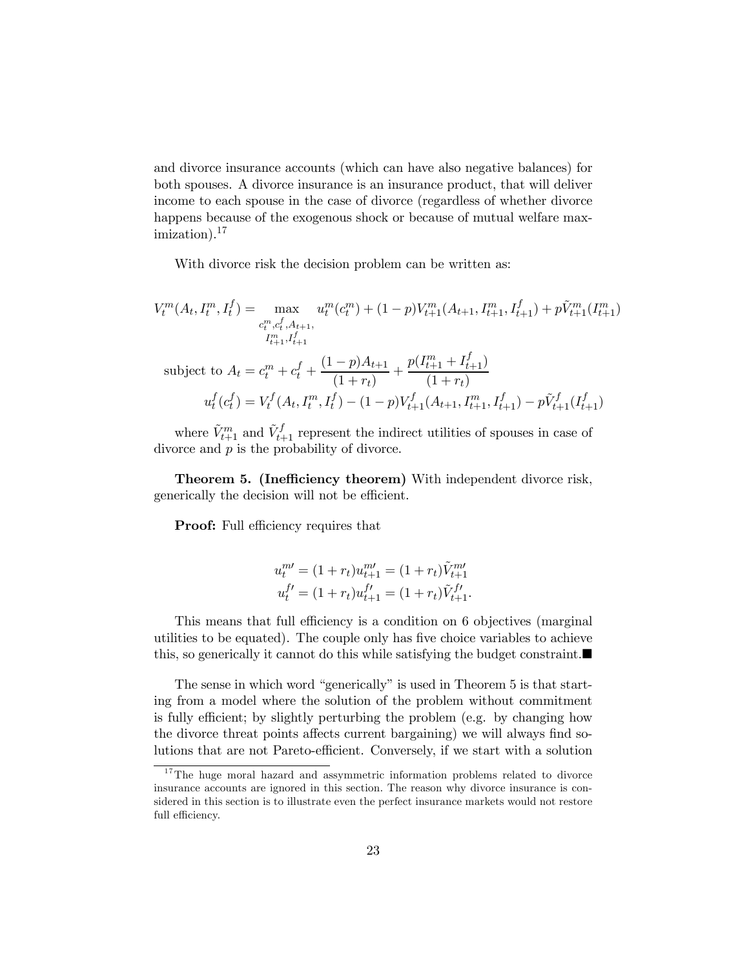and divorce insurance accounts (which can have also negative balances) for both spouses. A divorce insurance is an insurance product, that will deliver income to each spouse in the case of divorce (regardless of whether divorce happens because of the exogenous shock or because of mutual welfare max $imization$ ).<sup>17</sup>

With divorce risk the decision problem can be written as:

$$
V_t^m(A_t, I_t^m, I_t^f) = \max_{\substack{c_t^m, c_t^f, A_{t+1}, \\ I_{t+1}^m, I_{t+1}^f}} u_t^m(c_t^m) + (1-p)V_{t+1}^m(A_{t+1}, I_{t+1}^m, I_{t+1}^f) + p\tilde{V}_{t+1}^m(I_{t+1}^m)
$$
  
\nsubject to 
$$
A_t = c_t^m + c_t^f + \frac{(1-p)A_{t+1}}{(1+r_t)} + \frac{p(I_{t+1}^m + I_{t+1}^f)}{(1+r_t)}
$$

$$
u_t^f(c_t^f) = V_t^f(A_t, I_t^m, I_t^f) - (1-p)V_{t+1}^f(A_{t+1}, I_{t+1}^m, I_{t+1}^f) - p\tilde{V}_{t+1}^f(I_{t+1}^f)
$$

where  $\tilde{V}_{t+1}^m$  and  $\tilde{V}_{t+1}^f$  represent the indirect utilities of spouses in case of divorce and  $p$  is the probability of divorce.

Theorem 5. (Inefficiency theorem) With independent divorce risk, generically the decision will not be efficient.

**Proof:** Full efficiency requires that

$$
u_t^{m\prime} = (1 + r_t)u_{t+1}^{m\prime} = (1 + r_t)\tilde{V}_{t+1}^{m\prime}
$$
  

$$
u_t^{f\prime} = (1 + r_t)u_{t+1}^{f\prime} = (1 + r_t)\tilde{V}_{t+1}^{f\prime}.
$$

This means that full efficiency is a condition on 6 objectives (marginal utilities to be equated). The couple only has five choice variables to achieve this, so generically it cannot do this while satisfying the budget constraint.

The sense in which word "generically" is used in Theorem 5 is that starting from a model where the solution of the problem without commitment is fully efficient; by slightly perturbing the problem (e.g. by changing how the divorce threat points affects current bargaining) we will always find solutions that are not Pareto-efficient. Conversely, if we start with a solution

 $17$ The huge moral hazard and assymmetric information problems related to divorce insurance accounts are ignored in this section. The reason why divorce insurance is considered in this section is to illustrate even the perfect insurance markets would not restore full efficiency.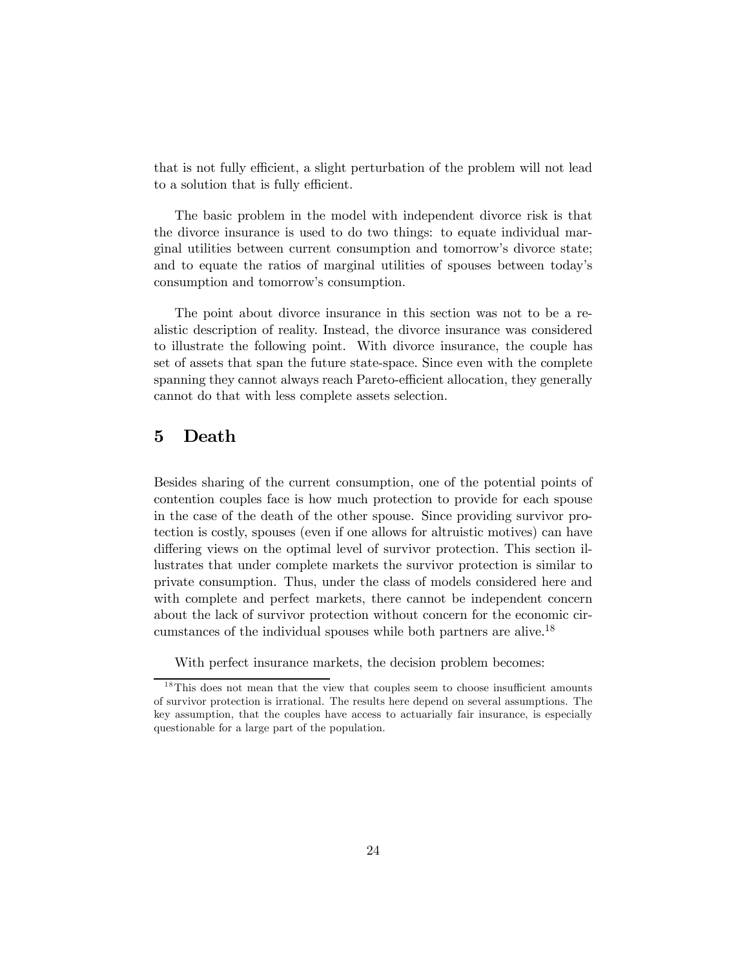that is not fully efficient, a slight perturbation of the problem will not lead to a solution that is fully efficient.

The basic problem in the model with independent divorce risk is that the divorce insurance is used to do two things: to equate individual marginal utilities between current consumption and tomorrow's divorce state; and to equate the ratios of marginal utilities of spouses between today's consumption and tomorrow's consumption.

The point about divorce insurance in this section was not to be a realistic description of reality. Instead, the divorce insurance was considered to illustrate the following point. With divorce insurance, the couple has set of assets that span the future state-space. Since even with the complete spanning they cannot always reach Pareto-efficient allocation, they generally cannot do that with less complete assets selection.

## 5 Death

Besides sharing of the current consumption, one of the potential points of contention couples face is how much protection to provide for each spouse in the case of the death of the other spouse. Since providing survivor protection is costly, spouses (even if one allows for altruistic motives) can have differing views on the optimal level of survivor protection. This section illustrates that under complete markets the survivor protection is similar to private consumption. Thus, under the class of models considered here and with complete and perfect markets, there cannot be independent concern about the lack of survivor protection without concern for the economic circumstances of the individual spouses while both partners are alive.18

With perfect insurance markets, the decision problem becomes:

 $18$ This does not mean that the view that couples seem to choose insufficient amounts of survivor protection is irrational. The results here depend on several assumptions. The key assumption, that the couples have access to actuarially fair insurance, is especially questionable for a large part of the population.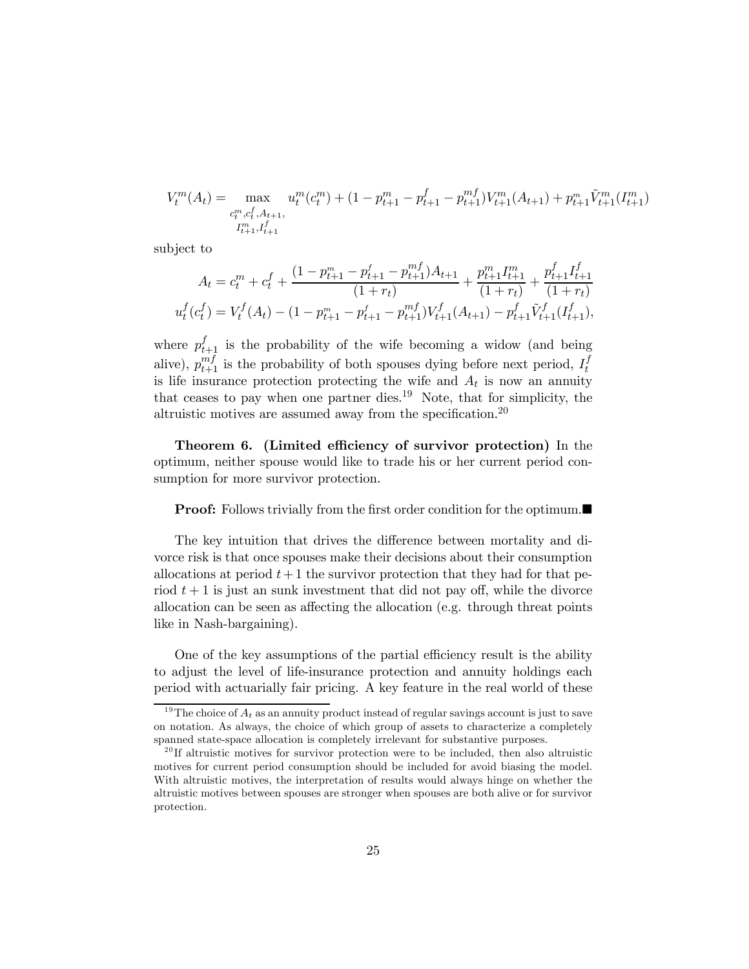$$
V_t^m(A_t) = \max_{\substack{c_t^m, c_t^f, A_{t+1}, \\ I_{t+1}^m, I_{t+1}^f}} u_t^m(c_t^m) + (1 - p_{t+1}^m - p_{t+1}^f - p_{t+1}^{mf}) V_{t+1}^m(A_{t+1}) + p_{t+1}^m \tilde{V}_{t+1}^m(I_{t+1}^m)
$$

subject to

$$
A_t = c_t^m + c_t^f + \frac{(1 - p_{t+1}^m - p_{t+1}^f - p_{t+1}^m)A_{t+1}}{(1 + r_t)} + \frac{p_{t+1}^m I_{t+1}^m}{(1 + r_t)} + \frac{p_{t+1}^f I_{t+1}^f}{(1 + r_t)}
$$

$$
u_t^f(c_t^f) = V_t^f(A_t) - (1 - p_{t+1}^m - p_{t+1}^f - p_{t+1}^m)V_{t+1}^f(A_{t+1}) - p_{t+1}^f \tilde{V}_{t+1}^f(I_{t+1}^f),
$$

where  $p_{t+1}^f$  is the probability of the wife becoming a widow (and being alive),  $p_{t+1}^{mf}$  is the probability of both spouses dying before next period,  $I_t^f$ is life insurance protection protecting the wife and  $A_t$  is now an annuity that ceases to pay when one partner dies.<sup>19</sup> Note, that for simplicity, the altruistic motives are assumed away from the specification.<sup>20</sup>

Theorem 6. (Limited efficiency of survivor protection) In the optimum, neither spouse would like to trade his or her current period consumption for more survivor protection.

#### **Proof:** Follows trivially from the first order condition for the optimum.■

The key intuition that drives the difference between mortality and divorce risk is that once spouses make their decisions about their consumption allocations at period  $t+1$  the survivor protection that they had for that period  $t + 1$  is just an sunk investment that did not pay off, while the divorce allocation can be seen as affecting the allocation (e.g. through threat points like in Nash-bargaining).

One of the key assumptions of the partial efficiency result is the ability to adjust the level of life-insurance protection and annuity holdings each period with actuarially fair pricing. A key feature in the real world of these

<sup>&</sup>lt;sup>19</sup>The choice of  $A_t$  as an annuity product instead of regular savings account is just to save on notation. As always, the choice of which group of assets to characterize a completely spanned state-space allocation is completely irrelevant for substantive purposes.

 $^{20}$ If altruistic motives for survivor protection were to be included, then also altruistic motives for current period consumption should be included for avoid biasing the model. With altruistic motives, the interpretation of results would always hinge on whether the altruistic motives between spouses are stronger when spouses are both alive or for survivor protection.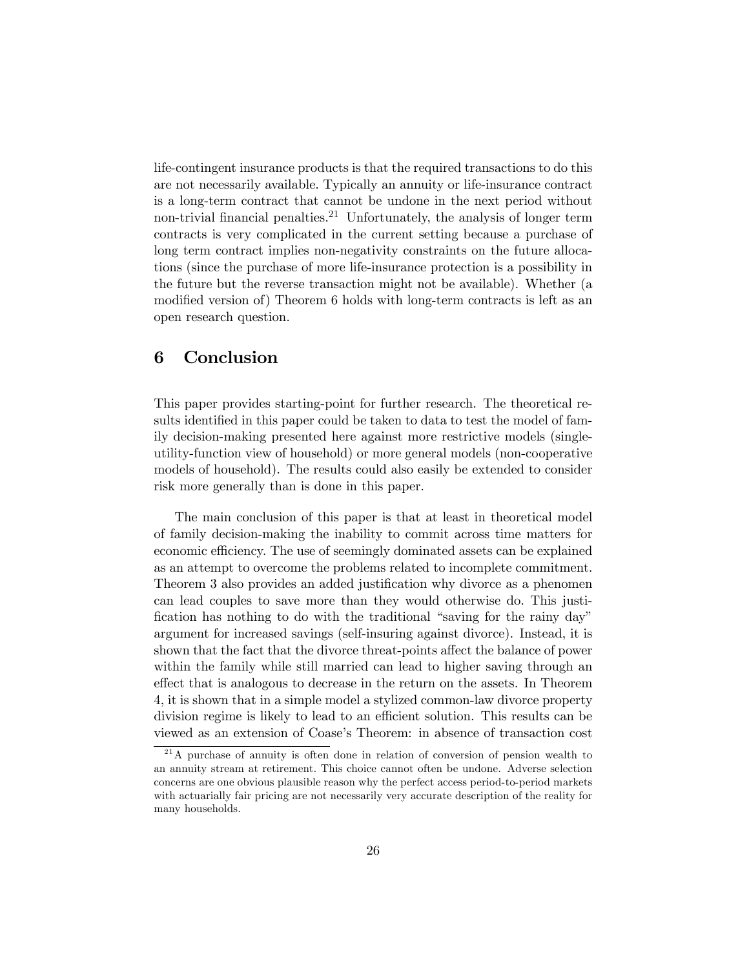life-contingent insurance products is that the required transactions to do this are not necessarily available. Typically an annuity or life-insurance contract is a long-term contract that cannot be undone in the next period without non-trivial financial penalties.<sup>21</sup> Unfortunately, the analysis of longer term contracts is very complicated in the current setting because a purchase of long term contract implies non-negativity constraints on the future allocations (since the purchase of more life-insurance protection is a possibility in the future but the reverse transaction might not be available). Whether (a modified version of) Theorem 6 holds with long-term contracts is left as an open research question.

### 6 Conclusion

This paper provides starting-point for further research. The theoretical results identified in this paper could be taken to data to test the model of family decision-making presented here against more restrictive models (singleutility-function view of household) or more general models (non-cooperative models of household). The results could also easily be extended to consider risk more generally than is done in this paper.

The main conclusion of this paper is that at least in theoretical model of family decision-making the inability to commit across time matters for economic efficiency. The use of seemingly dominated assets can be explained as an attempt to overcome the problems related to incomplete commitment. Theorem 3 also provides an added justification why divorce as a phenomen can lead couples to save more than they would otherwise do. This justification has nothing to do with the traditional "saving for the rainy day" argument for increased savings (self-insuring against divorce). Instead, it is shown that the fact that the divorce threat-points affect the balance of power within the family while still married can lead to higher saving through an effect that is analogous to decrease in the return on the assets. In Theorem 4, it is shown that in a simple model a stylized common-law divorce property division regime is likely to lead to an efficient solution. This results can be viewed as an extension of Coase's Theorem: in absence of transaction cost

<sup>&</sup>lt;sup>21</sup>A purchase of annuity is often done in relation of conversion of pension wealth to an annuity stream at retirement. This choice cannot often be undone. Adverse selection concerns are one obvious plausible reason why the perfect access period-to-period markets with actuarially fair pricing are not necessarily very accurate description of the reality for many households.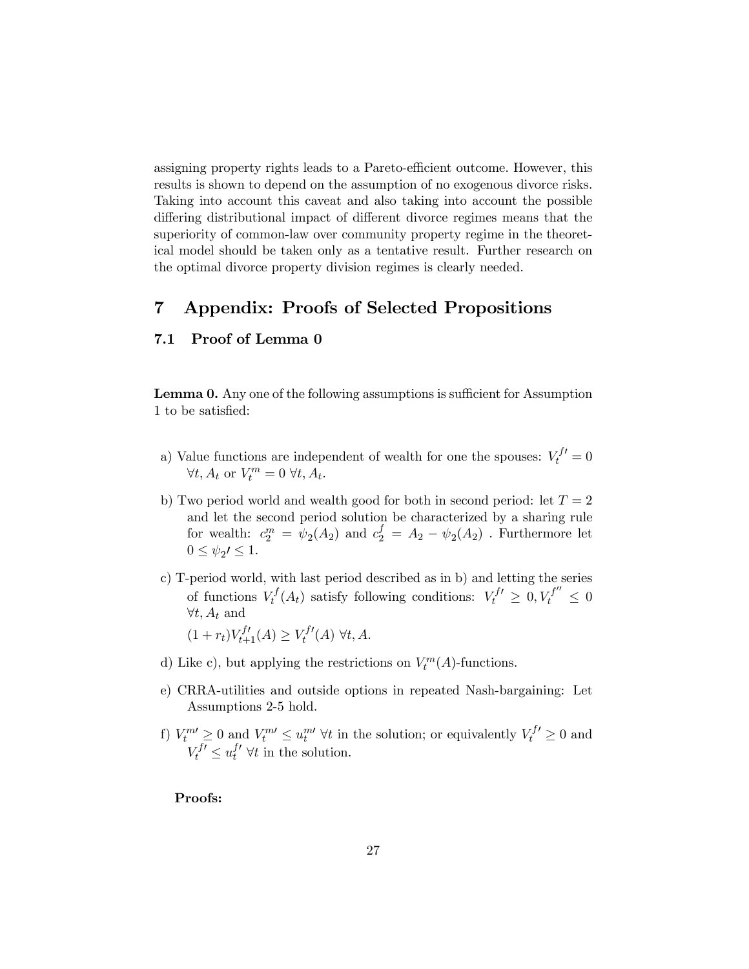assigning property rights leads to a Pareto-efficient outcome. However, this results is shown to depend on the assumption of no exogenous divorce risks. Taking into account this caveat and also taking into account the possible differing distributional impact of different divorce regimes means that the superiority of common-law over community property regime in the theoretical model should be taken only as a tentative result. Further research on the optimal divorce property division regimes is clearly needed.

# 7 Appendix: Proofs of Selected Propositions

### 7.1 Proof of Lemma 0

Lemma 0. Any one of the following assumptions is sufficient for Assumption 1 to be satisfied:

- a) Value functions are independent of wealth for one the spouses:  $V_t^{f'} = 0$  $\forall t, A_t \text{ or } V_t^m = 0 \ \forall t, A_t.$
- b) Two period world and wealth good for both in second period: let  $T = 2$ and let the second period solution be characterized by a sharing rule for wealth:  $c_2^m = \psi_2(A_2)$  and  $c_2^f = A_2 - \psi_2(A_2)$ . Furthermore let  $0 \leq \psi_2 \leq 1$ .
- c) T-period world, with last period described as in b) and letting the series of functions  $V_t^f(A_t)$  satisfy following conditions:  $V_t^{f'} \geq 0, V_t^{f''} \leq 0$  $\forall t, A_t$  and

$$
(1 + r_t)V_{t+1}^{f'}(A) \ge V_t^{f'}(A) \,\forall t, A.
$$

- d) Like c), but applying the restrictions on  $V_t^m(A)$ -functions.
- e) CRRA-utilities and outside options in repeated Nash-bargaining: Let Assumptions 2-5 hold.
- f)  $V_t^m \geq 0$  and  $V_t^m \leq u_t^{m}$   $\forall t$  in the solution; or equivalently  $V_t^{f'} \geq 0$  and  $V_t^{f'} \leq u_t^{f'} \ \forall t$  in the solution.

### Proofs: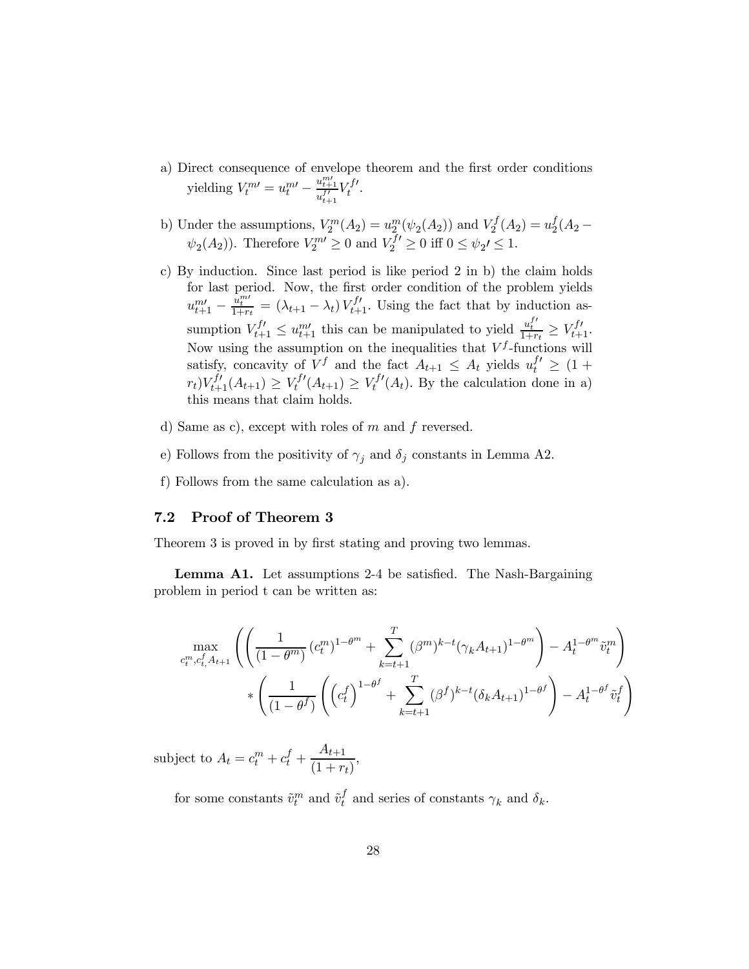- a) Direct consequence of envelope theorem and the first order conditions yielding  $V_t^{m\prime} = u_t^{m\prime} - \frac{u_{t+1}^{m\prime}}{u_{t+1}^{f\prime}} V_t^{f\prime}$ .
- b) Under the assumptions,  $V_2^m(A_2) = u_2^m(\psi_2(A_2))$  and  $V_2^f(A_2) = u_2^f(A_2 \psi_2(A_2)$ ). Therefore  $V_2^{m} \ge 0$  and  $V_2^{f'} \ge 0$  iff  $0 \le \psi_2 \le 1$ .
- c) By induction. Since last period is like period 2 in b) the claim holds for last period. Now, the first order condition of the problem yields  $u_{t+1}^{m} - \frac{u_t^{m}}{1+r_t} = (\lambda_{t+1} - \lambda_t) V_{t+1}^{f'}$ . Using the fact that by induction assumption  $V_{t+1}^{f'} \le u_{t+1}^{m'}$  this can be manipulated to yield  $\frac{u_t^{f'}}{1+r_t} \ge V_{t+1}^{f'}$ . Now using the assumption on the inequalities that  $V^f$ -functions will satisfy, concavity of  $V^f$  and the fact  $A_{t+1} \leq A_t$  yields  $u_t^{f'} \geq (1 +$  $(r_t)V_{t+1}^{f'}(A_{t+1}) \geq V_t^{f'}(A_{t+1}) \geq V_t^{f'}(A_t)$ . By the calculation done in a) this means that claim holds.
- d) Same as c), except with roles of  $m$  and  $f$  reversed.
- e) Follows from the positivity of  $\gamma_j$  and  $\delta_j$  constants in Lemma A2.
- f) Follows from the same calculation as a).

### 7.2 Proof of Theorem 3

Theorem 3 is proved in by first stating and proving two lemmas.

Lemma A1. Let assumptions 2-4 be satisfied. The Nash-Bargaining problem in period t can be written as:

$$
\max_{c_t^m, c_t^f, A_{t+1}} \left( \left( \frac{1}{(1 - \theta^m)} (c_t^m)^{1 - \theta^m} + \sum_{k=t+1}^T (\beta^m)^{k-t} (\gamma_k A_{t+1})^{1 - \theta^m} \right) - A_t^{1 - \theta^m} \tilde{v}_t^m \right) \times \left( \frac{1}{(1 - \theta^f)} \left( \left( c_t^f \right)^{1 - \theta^f} + \sum_{k=t+1}^T (\beta^f)^{k-t} (\delta_k A_{t+1})^{1 - \theta^f} \right) - A_t^{1 - \theta^f} \tilde{v}_t^f \right)
$$

subject to  $A_t = c_t^m + c_t^f + \frac{A_{t+1}}{(1+r)}$  $\frac{1}{(1+r_t)},$ 

for some constants  $\tilde{v}_t^m$  and  $\tilde{v}_t^f$  and series of constants  $\gamma_k$  and  $\delta_k$ .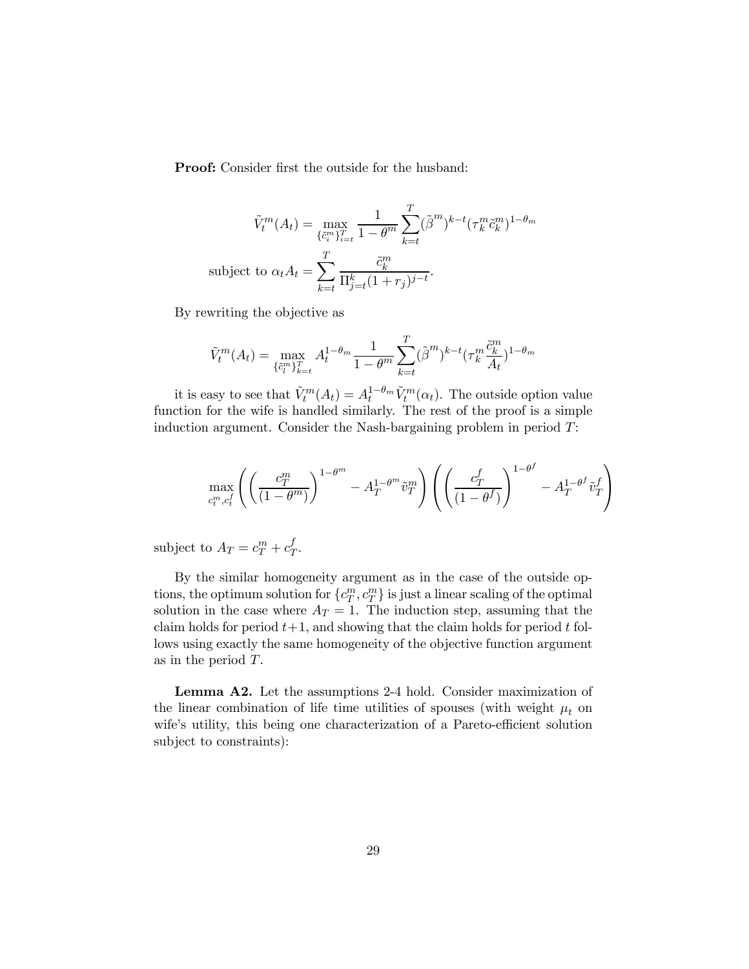Proof: Consider first the outside for the husband:

$$
\tilde{V}_t^m(A_t) = \max_{\{\tilde{c}_i^m\}_{i=t}^T} \frac{1}{1 - \theta^m} \sum_{k=t}^T (\tilde{\beta}^m)^{k-t} (\tau_k^m \tilde{c}_k^m)^{1 - \theta_m}
$$
\nsubject to 
$$
\alpha_t A_t = \sum_{k=t}^T \frac{\tilde{c}_k^m}{\prod_{j=t}^k (1 + r_j)^{j-t}}.
$$

By rewriting the objective as

$$
\tilde{V}_t^m(A_t) = \max_{\{\tilde{c}_t^m\}_{k=t}^T} A_t^{1-\theta_m} \frac{1}{1-\theta^m} \sum_{k=t}^T (\tilde{\beta}^m)^{k-t} (\tau_k^m \frac{\tilde{c}_k^m}{A_t})^{1-\theta_m}
$$

it is easy to see that  $\tilde{V}_t^m(A_t) = A_t^{1-\theta_m} \tilde{V}_t^m(\alpha_t)$ . The outside option value function for the wife is handled similarly. The rest of the proof is a simple induction argument. Consider the Nash-bargaining problem in period T:

$$
\max_{c_t^m, c_t^f} \left( \left( \frac{c_T^m}{(1-\theta^m)} \right)^{1-\theta^m} - A_T^{1-\theta^m} \tilde{v}_T^m \right) \left( \left( \frac{c_T^f}{(1-\theta^f)} \right)^{1-\theta^f} - A_T^{1-\theta^f} \tilde{v}_T^f \right)
$$

subject to  $A_T = c_T^m + c_T^f$ .

By the similar homogeneity argument as in the case of the outside options, the optimum solution for  $\{c_T^m, c_T^m\}$  is just a linear scaling of the optimal solution in the case where  $A_T = 1$ . The induction step, assuming that the claim holds for period  $t+1$ , and showing that the claim holds for period t follows using exactly the same homogeneity of the objective function argument as in the period T.

Lemma A2. Let the assumptions 2-4 hold. Consider maximization of the linear combination of life time utilities of spouses (with weight  $\mu_t$  on wife's utility, this being one characterization of a Pareto-efficient solution subject to constraints):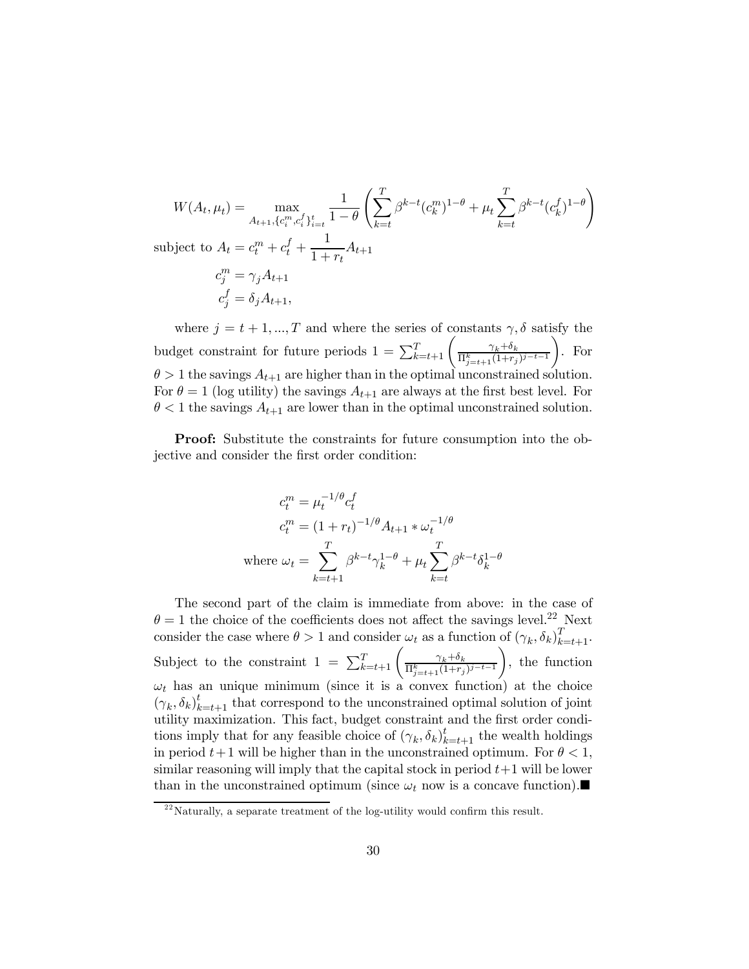$$
W(A_t, \mu_t) = \max_{A_{t+1}, \{c_i^m, c_i^f\}_{i=t}^t} \frac{1}{1-\theta} \left( \sum_{k=t}^T \beta^{k-t} (c_k^m)^{1-\theta} + \mu_t \sum_{k=t}^T \beta^{k-t} (c_k^f)^{1-\theta} \right)
$$
  
subject to  $A_t = c_t^m + c_t^f + \frac{1}{1+r_t} A_{t+1}$   
 $c_j^m = \gamma_j A_{t+1}$   
 $c_j^f = \delta_j A_{t+1},$ 

where  $j = t + 1, ..., T$  and where the series of constants  $\gamma$ ,  $\delta$  satisfy the budget constraint for future periods  $1 = \sum_{k=t+1}^{T} \left( \frac{\gamma_k + \delta_k}{\prod_{j=t+1}^{k} (1+r_j)^{j-t-1}} \right)$  $\setminus$ . For  $\theta > 1$  the savings  $A_{t+1}$  are higher than in the optimal unconstrained solution. For  $\theta = 1$  (log utility) the savings  $A_{t+1}$  are always at the first best level. For  $\theta$  < 1 the savings  $A_{t+1}$  are lower than in the optimal unconstrained solution.

Proof: Substitute the constraints for future consumption into the objective and consider the first order condition:

$$
c_t^m = \mu_t^{-1/\theta} c_t^f
$$
  
\n
$$
c_t^m = (1 + r_t)^{-1/\theta} A_{t+1} * \omega_t^{-1/\theta}
$$
  
\nwhere  $\omega_t = \sum_{k=t+1}^T \beta^{k-t} \gamma_k^{1-\theta} + \mu_t \sum_{k=t}^T \beta^{k-t} \delta_k^{1-\theta}$ 

The second part of the claim is immediate from above: in the case of  $\theta = 1$  the choice of the coefficients does not affect the savings level.<sup>22</sup> Next consider the case where  $\theta > 1$  and consider  $\omega_t$  as a function of  $(\gamma_k, \delta_k)_{k=t+1}^T$ . Subject to the constraint  $1 = \sum_{k=t+1}^{T} \left( \frac{\gamma_k + \delta_k}{\prod_{j=t+1}^k (1+r_j)^{j-t-1}} \right)$  $\setminus$ , the function  $\omega_t$  has an unique minimum (since it is a convex function) at the choice  $(\gamma_k, \delta_k)_{k=t+1}^t$  that correspond to the unconstrained optimal solution of joint utility maximization. This fact, budget constraint and the first order conditions imply that for any feasible choice of  $(\gamma_k, \delta_k)_{k=t+1}^t$  the wealth holdings in period  $t+1$  will be higher than in the unconstrained optimum. For  $\theta < 1$ , similar reasoning will imply that the capital stock in period  $t+1$  will be lower than in the unconstrained optimum (since  $\omega_t$  now is a concave function).

 $^{22}$ Naturally, a separate treatment of the log-utility would confirm this result.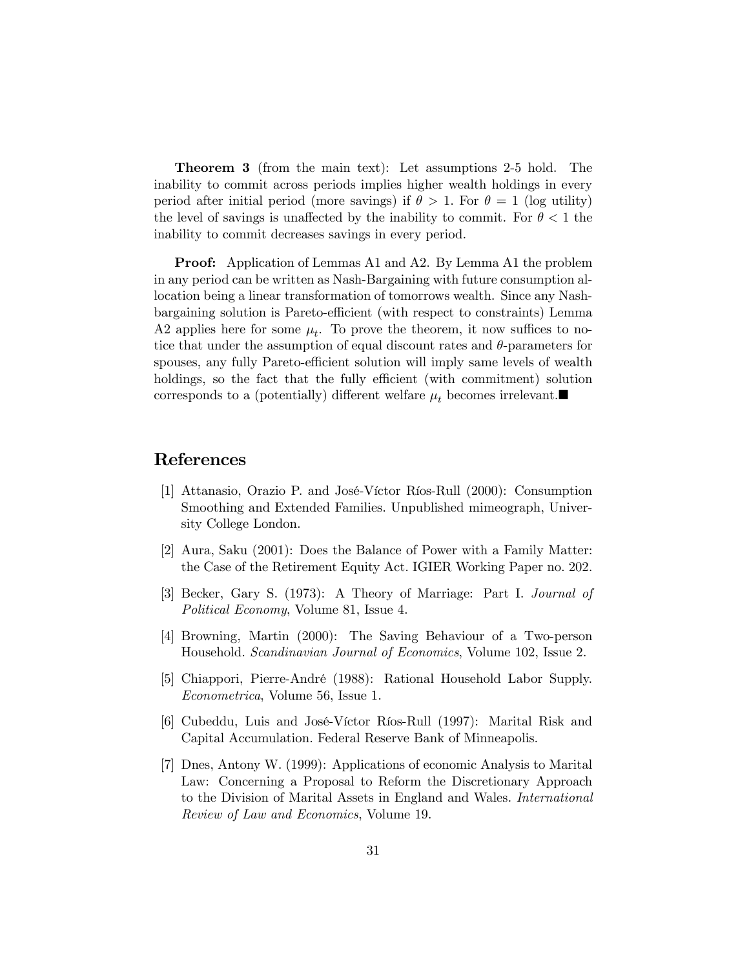Theorem 3 (from the main text): Let assumptions 2-5 hold. The inability to commit across periods implies higher wealth holdings in every period after initial period (more savings) if  $\theta > 1$ . For  $\theta = 1$  (log utility) the level of savings is unaffected by the inability to commit. For  $\theta < 1$  the inability to commit decreases savings in every period.

Proof: Application of Lemmas A1 and A2. By Lemma A1 the problem in any period can be written as Nash-Bargaining with future consumption allocation being a linear transformation of tomorrows wealth. Since any Nashbargaining solution is Pareto-efficient (with respect to constraints) Lemma A2 applies here for some  $\mu_t$ . To prove the theorem, it now suffices to notice that under the assumption of equal discount rates and  $\theta$ -parameters for spouses, any fully Pareto-efficient solution will imply same levels of wealth holdings, so the fact that the fully efficient (with commitment) solution corresponds to a (potentially) different welfare  $\mu_t$  becomes irrelevant.

## References

- [1] Attanasio, Orazio P. and José-Víctor Ríos-Rull (2000): Consumption Smoothing and Extended Families. Unpublished mimeograph, University College London.
- [2] Aura, Saku (2001): Does the Balance of Power with a Family Matter: the Case of the Retirement Equity Act. IGIER Working Paper no. 202.
- [3] Becker, Gary S. (1973): A Theory of Marriage: Part I. Journal of Political Economy, Volume 81, Issue 4.
- [4] Browning, Martin (2000): The Saving Behaviour of a Two-person Household. Scandinavian Journal of Economics, Volume 102, Issue 2.
- [5] Chiappori, Pierre-André (1988): Rational Household Labor Supply. Econometrica, Volume 56, Issue 1.
- [6] Cubeddu, Luis and José-Víctor Ríos-Rull (1997): Marital Risk and Capital Accumulation. Federal Reserve Bank of Minneapolis.
- [7] Dnes, Antony W. (1999): Applications of economic Analysis to Marital Law: Concerning a Proposal to Reform the Discretionary Approach to the Division of Marital Assets in England and Wales. International Review of Law and Economics, Volume 19.